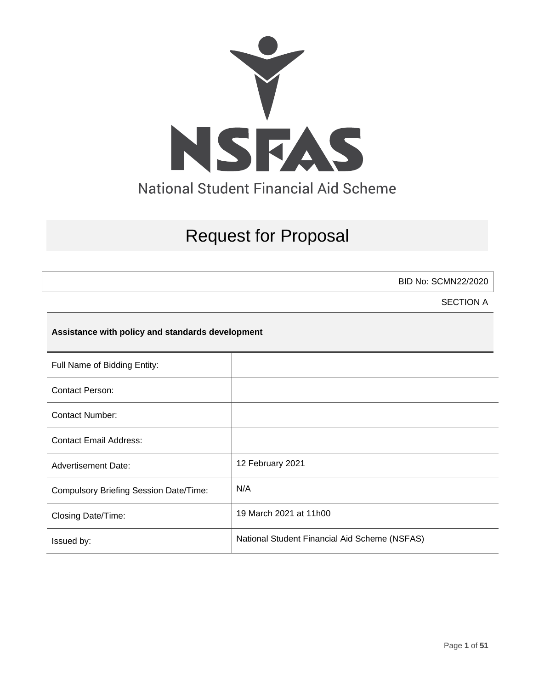

# Request for Proposal

BID No: SCMN22/2020

SECTION A

# **Assistance with policy and standards development**

| Full Name of Bidding Entity:                  |                                               |
|-----------------------------------------------|-----------------------------------------------|
| Contact Person:                               |                                               |
| <b>Contact Number:</b>                        |                                               |
| <b>Contact Email Address:</b>                 |                                               |
| <b>Advertisement Date:</b>                    | 12 February 2021                              |
| <b>Compulsory Briefing Session Date/Time:</b> | N/A                                           |
| Closing Date/Time:                            | 19 March 2021 at 11h00                        |
| Issued by:                                    | National Student Financial Aid Scheme (NSFAS) |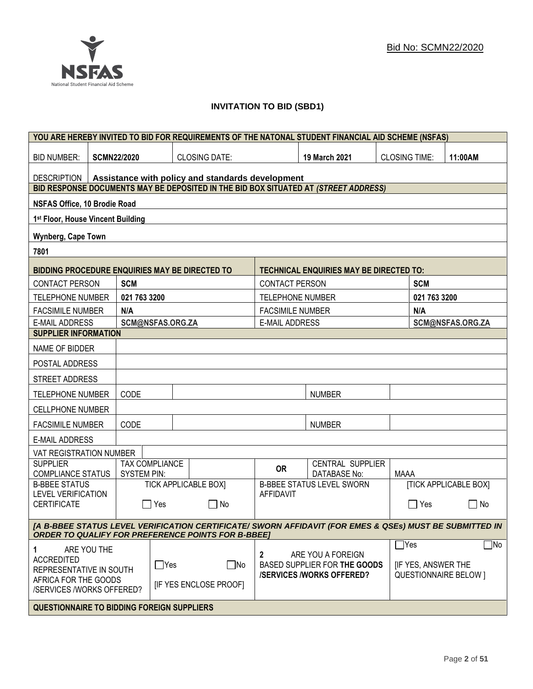# **INVITATION TO BID (SBD1)**

|                                                                                                                                                                      |                    |                    |                                                   |                                                  |                           | YOU ARE HEREBY INVITED TO BID FOR REQUIREMENTS OF THE NATONAL STUDENT FINANCIAL AID SCHEME (NSFAS) |                      |              |                              |
|----------------------------------------------------------------------------------------------------------------------------------------------------------------------|--------------------|--------------------|---------------------------------------------------|--------------------------------------------------|---------------------------|----------------------------------------------------------------------------------------------------|----------------------|--------------|------------------------------|
| <b>BID NUMBER:</b>                                                                                                                                                   | <b>SCMN22/2020</b> |                    |                                                   | <b>CLOSING DATE:</b>                             |                           | 19 March 2021                                                                                      | <b>CLOSING TIME:</b> |              | 11:00AM                      |
| <b>DESCRIPTION</b>                                                                                                                                                   |                    |                    |                                                   | Assistance with policy and standards development |                           |                                                                                                    |                      |              |                              |
|                                                                                                                                                                      |                    |                    |                                                   |                                                  |                           | BID RESPONSE DOCUMENTS MAY BE DEPOSITED IN THE BID BOX SITUATED AT (STREET ADDRESS)                |                      |              |                              |
| NSFAS Office, 10 Brodie Road                                                                                                                                         |                    |                    |                                                   |                                                  |                           |                                                                                                    |                      |              |                              |
| 1st Floor, House Vincent Building                                                                                                                                    |                    |                    |                                                   |                                                  |                           |                                                                                                    |                      |              |                              |
| Wynberg, Cape Town                                                                                                                                                   |                    |                    |                                                   |                                                  |                           |                                                                                                    |                      |              |                              |
| 7801                                                                                                                                                                 |                    |                    |                                                   |                                                  |                           |                                                                                                    |                      |              |                              |
| <b>BIDDING PROCEDURE ENQUIRIES MAY BE DIRECTED TO</b>                                                                                                                |                    |                    |                                                   |                                                  |                           | <b>TECHNICAL ENQUIRIES MAY BE DIRECTED TO:</b>                                                     |                      |              |                              |
| <b>CONTACT PERSON</b>                                                                                                                                                |                    | <b>SCM</b>         |                                                   |                                                  | <b>CONTACT PERSON</b>     |                                                                                                    |                      | <b>SCM</b>   |                              |
| <b>TELEPHONE NUMBER</b>                                                                                                                                              |                    | 021 763 3200       |                                                   |                                                  | <b>TELEPHONE NUMBER</b>   |                                                                                                    |                      | 021 763 3200 |                              |
| <b>FACSIMILE NUMBER</b>                                                                                                                                              |                    | N/A                |                                                   |                                                  | <b>FACSIMILE NUMBER</b>   |                                                                                                    |                      | N/A          |                              |
| <b>E-MAIL ADDRESS</b>                                                                                                                                                |                    |                    | SCM@NSFAS.ORG.ZA                                  |                                                  | <b>E-MAIL ADDRESS</b>     |                                                                                                    |                      |              | SCM@NSFAS.ORG.ZA             |
| <b>SUPPLIER INFORMATION</b>                                                                                                                                          |                    |                    |                                                   |                                                  |                           |                                                                                                    |                      |              |                              |
| NAME OF BIDDER                                                                                                                                                       |                    |                    |                                                   |                                                  |                           |                                                                                                    |                      |              |                              |
| POSTAL ADDRESS                                                                                                                                                       |                    |                    |                                                   |                                                  |                           |                                                                                                    |                      |              |                              |
| STREET ADDRESS                                                                                                                                                       |                    |                    |                                                   |                                                  |                           |                                                                                                    |                      |              |                              |
| <b>TELEPHONE NUMBER</b>                                                                                                                                              |                    | CODE               |                                                   |                                                  |                           | <b>NUMBER</b>                                                                                      |                      |              |                              |
| <b>CELLPHONE NUMBER</b>                                                                                                                                              |                    |                    |                                                   |                                                  |                           |                                                                                                    |                      |              |                              |
| <b>FACSIMILE NUMBER</b>                                                                                                                                              |                    | CODE               |                                                   |                                                  |                           | <b>NUMBER</b>                                                                                      |                      |              |                              |
| <b>E-MAIL ADDRESS</b>                                                                                                                                                |                    |                    |                                                   |                                                  |                           |                                                                                                    |                      |              |                              |
| VAT REGISTRATION NUMBER                                                                                                                                              |                    |                    |                                                   |                                                  |                           |                                                                                                    |                      |              |                              |
| <b>SUPPLIER</b><br><b>COMPLIANCE STATUS</b>                                                                                                                          |                    | <b>SYSTEM PIN:</b> | <b>TAX COMPLIANCE</b>                             |                                                  | <b>OR</b>                 | CENTRAL SUPPLIER<br>DATABASE No:                                                                   | <b>MAAA</b>          |              |                              |
| <b>B-BBEE STATUS</b>                                                                                                                                                 |                    |                    |                                                   | <b>TICK APPLICABLE BOX]</b>                      |                           | <b>B-BBEE STATUS LEVEL SWORN</b>                                                                   |                      |              | <b>[TICK APPLICABLE BOX]</b> |
| <b>LEVEL VERIFICATION</b><br><b>CERTIFICATE</b>                                                                                                                      |                    | $\mathbf{I}$       | Yes                                               | l INo                                            | <b>AFFIDAVIT</b>          |                                                                                                    |                      | ∏ Yes        | $\vert \ \ \vert$<br>No      |
| [A B-BBEE STATUS LEVEL VERIFICATION CERTIFICATE/ SWORN AFFIDAVIT (FOR EMES & QSEs) MUST BE SUBMITTED IN<br><b>ORDER TO QUALIFY FOR PREFERENCE POINTS FOR B-BBEE]</b> |                    |                    |                                                   |                                                  |                           |                                                                                                    |                      |              |                              |
|                                                                                                                                                                      |                    |                    |                                                   |                                                  |                           |                                                                                                    |                      | $\Box$ Yes   | $\Box$ No                    |
| ARE YOU THE<br>1.<br><b>ACCREDITED</b><br>$\Box$ Yes<br>$\square$ No<br>REPRESENTATIVE IN SOUTH                                                                      |                    | 2                  | ARE YOU A FOREIGN<br>BASED SUPPLIER FOR THE GOODS |                                                  | <b>IF YES, ANSWER THE</b> |                                                                                                    |                      |              |                              |
| <b>/SERVICES/WORKS OFFERED?</b><br><b>QUESTIONNAIRE BELOW 1</b><br>AFRICA FOR THE GOODS<br><b>IF YES ENCLOSE PROOFI</b><br>/SERVICES /WORKS OFFERED?                 |                    |                    |                                                   |                                                  |                           |                                                                                                    |                      |              |                              |
| <b>QUESTIONNAIRE TO BIDDING FOREIGN SUPPLIERS</b>                                                                                                                    |                    |                    |                                                   |                                                  |                           |                                                                                                    |                      |              |                              |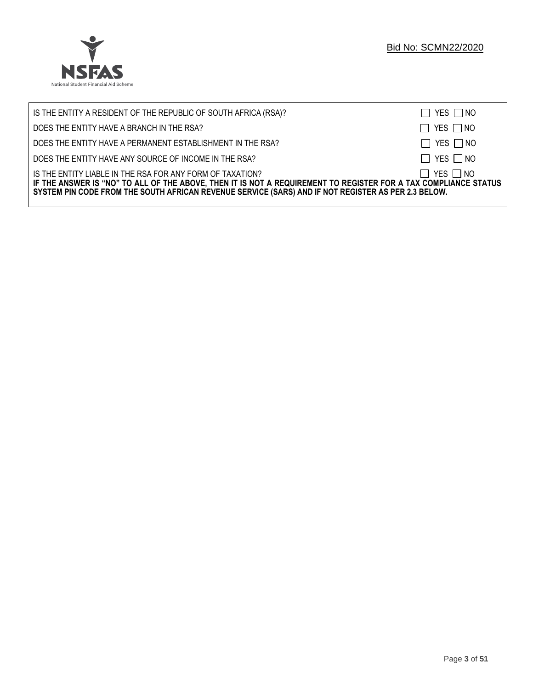

| IS THE ENTITY A RESIDENT OF THE REPUBLIC OF SOUTH AFRICA (RSA)?                                                                                                                                                                                                                     | $\Box$ YES $\Box$ NO |
|-------------------------------------------------------------------------------------------------------------------------------------------------------------------------------------------------------------------------------------------------------------------------------------|----------------------|
| DOES THE ENTITY HAVE A BRANCH IN THE RSA?                                                                                                                                                                                                                                           | $\Box$ YES $\Box$ NO |
| DOES THE ENTITY HAVE A PERMANENT ESTABLISHMENT IN THE RSA?                                                                                                                                                                                                                          | $\Box$ YES $\Box$ NO |
| DOES THE ENTITY HAVE ANY SOURCE OF INCOME IN THE RSA?                                                                                                                                                                                                                               | $\Box$ YES $\Box$ NO |
| IS THE ENTITY LIABLE IN THE RSA FOR ANY FORM OF TAXATION?<br>IF THE ANSWER IS "NO" TO ALL OF THE ABOVE, THEN IT IS NOT A REQUIREMENT TO REGISTER FOR A TAX COMPLIANCE STATUS<br>SYSTEM PIN CODE FROM THE SOUTH AFRICAN REVENUE SERVICE (SARS) AND IF NOT REGISTER AS PER 2.3 BELOW. | $\Box$ YES $\Box$ NO |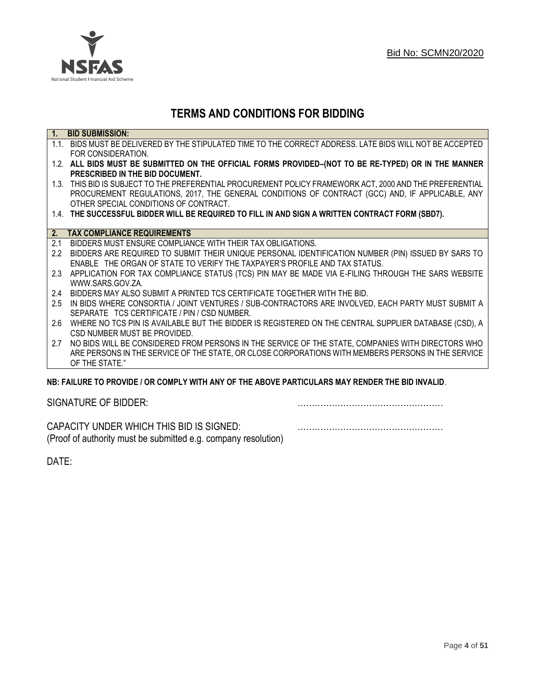

# **TERMS AND CONDITIONS FOR BIDDING**

| $\overline{1}$ . | <b>BID SUBMISSION:</b>                                                                                    |
|------------------|-----------------------------------------------------------------------------------------------------------|
|                  | 1.1. BIDS MUST BE DELIVERED BY THE STIPULATED TIME TO THE CORRECT ADDRESS. LATE BIDS WILL NOT BE ACCEPTED |
|                  | FOR CONSIDERATION.                                                                                        |
|                  | 1.2. ALL BIDS MUST BE SUBMITTED ON THE OFFICIAL FORMS PROVIDED-(NOT TO BE RE-TYPED) OR IN THE MANNER      |
|                  | PRESCRIBED IN THE BID DOCUMENT.                                                                           |
|                  | 1.3. THIS BID IS SUBJECT TO THE PREFERENTIAL PROCUREMENT POLICY FRAMEWORK ACT, 2000 AND THE PREFERENTIAL  |
|                  | PROCUREMENT REGULATIONS, 2017, THE GENERAL CONDITIONS OF CONTRACT (GCC) AND, IF APPLICABLE, ANY           |
|                  | OTHER SPECIAL CONDITIONS OF CONTRACT.                                                                     |
|                  | 1.4. THE SUCCESSFUL BIDDER WILL BE REQUIRED TO FILL IN AND SIGN A WRITTEN CONTRACT FORM (SBD7).           |
|                  |                                                                                                           |
| 2.               | <b>TAX COMPLIANCE REQUIREMENTS</b>                                                                        |
| 2.1              | BIDDERS MUST ENSURE COMPLIANCE WITH THEIR TAX OBLIGATIONS.                                                |
| $2.2^{\circ}$    | BIDDERS ARE REQUIRED TO SUBMIT THEIR UNIQUE PERSONAL IDENTIFICATION NUMBER (PIN) ISSUED BY SARS TO        |
|                  | ENABLE THE ORGAN OF STATE TO VERIFY THE TAXPAYER'S PROFILE AND TAX STATUS.                                |
| 2.3              | APPLICATION FOR TAX COMPLIANCE STATUS (TCS) PIN MAY BE MADE VIA E-FILING THROUGH THE SARS WEBSITE         |
|                  | WWW.SARS.GOV.ZA.                                                                                          |
| 2.4              | BIDDERS MAY ALSO SUBMIT A PRINTED TCS CERTIFICATE TOGETHER WITH THE BID.                                  |
| 2.5              | IN BIDS WHERE CONSORTIA / JOINT VENTURES / SUB-CONTRACTORS ARE INVOLVED, EACH PARTY MUST SUBMIT A         |
|                  | SEPARATE TCS CERTIFICATE / PIN / CSD NUMBER.                                                              |
| 2.6              | WHERE NO TCS PIN IS AVAILABLE BUT THE BIDDER IS REGISTERED ON THE CENTRAL SUPPLIER DATABASE (CSD), A      |
|                  | CSD NUMBER MUST BE PROVIDED.                                                                              |
| 2.7              | NO BIDS WILL BE CONSIDERED FROM PERSONS IN THE SERVICE OF THE STATE, COMPANIES WITH DIRECTORS WHO         |
|                  | ARE PERSONS IN THE SERVICE OF THE STATE, OR CLOSE CORPORATIONS WITH MEMBERS PERSONS IN THE SERVICE        |
|                  | OF THE STATE."                                                                                            |
|                  | NR: EAII HDE TO DDOVIDE / OD COMDI V WITH ANV OF THE AROVE DADTICHI ADS MAV DENDED THE RID INVALID        |

# **NB: FAILURE TO PROVIDE / OR COMPLY WITH ANY OF THE ABOVE PARTICULARS MAY RENDER THE BID INVALID**.

|  | SIGNATURE OF BIDDER: |
|--|----------------------|
|--|----------------------|

SIGNATURE OF BIDDER: ……………………………………………

CAPACITY UNDER WHICH THIS BID IS SIGNED: …………………………………………… (Proof of authority must be submitted e.g. company resolution)

DATE: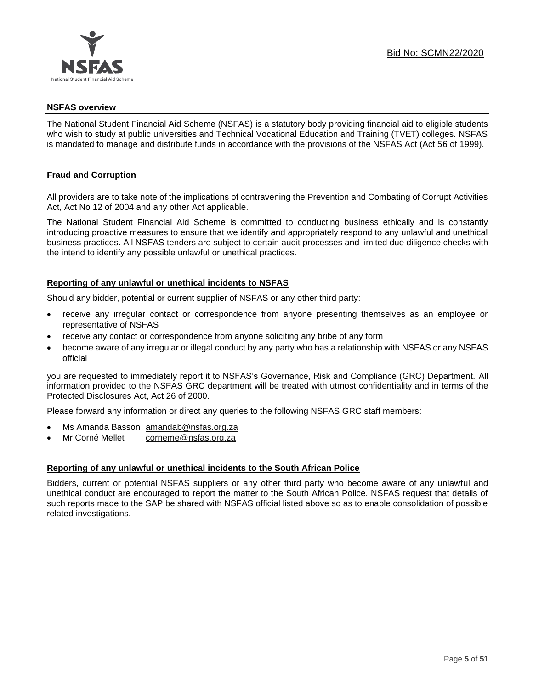

# **NSFAS overview**

The National Student Financial Aid Scheme (NSFAS) is a statutory body providing financial aid to eligible students who wish to study at public universities and Technical Vocational Education and Training (TVET) colleges. NSFAS is mandated to manage and distribute funds in accordance with the provisions of the NSFAS Act (Act 56 of 1999).

# **Fraud and Corruption**

All providers are to take note of the implications of contravening the Prevention and Combating of Corrupt Activities Act, Act No 12 of 2004 and any other Act applicable.

The National Student Financial Aid Scheme is committed to conducting business ethically and is constantly introducing proactive measures to ensure that we identify and appropriately respond to any unlawful and unethical business practices. All NSFAS tenders are subject to certain audit processes and limited due diligence checks with the intend to identify any possible unlawful or unethical practices.

# **Reporting of any unlawful or unethical incidents to NSFAS**

Should any bidder, potential or current supplier of NSFAS or any other third party:

- receive any irregular contact or correspondence from anyone presenting themselves as an employee or representative of NSFAS
- receive any contact or correspondence from anyone soliciting any bribe of any form
- become aware of any irregular or illegal conduct by any party who has a relationship with NSFAS or any NSFAS official

you are requested to immediately report it to NSFAS's Governance, Risk and Compliance (GRC) Department. All information provided to the NSFAS GRC department will be treated with utmost confidentiality and in terms of the Protected Disclosures Act, Act 26 of 2000.

Please forward any information or direct any queries to the following NSFAS GRC staff members:

- Ms Amanda Basson: [amandab@nsfas.org.za](mailto:amandab@nsfas.org.za)
- Mr Corné Mellet : [corneme@nsfas.org.za](mailto:corneme@nsfas.org.za)

# **Reporting of any unlawful or unethical incidents to the South African Police**

Bidders, current or potential NSFAS suppliers or any other third party who become aware of any unlawful and unethical conduct are encouraged to report the matter to the South African Police. NSFAS request that details of such reports made to the SAP be shared with NSFAS official listed above so as to enable consolidation of possible related investigations.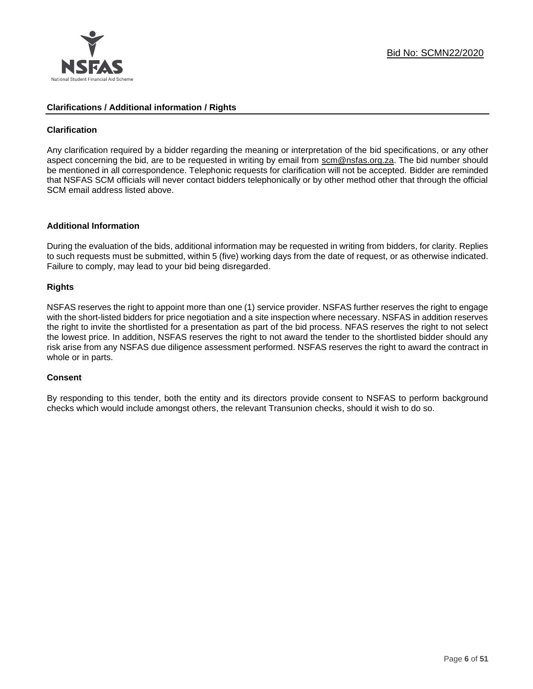

# **Clarifications / Additional information / Rights**

# **Clarification**

Any clarification required by a bidder regarding the meaning or interpretation of the bid specifications, or any other aspect concerning the bid, are to be requested in writing by email from scm@nsfas.org.za. The bid number should be mentioned in all correspondence. Telephonic requests for clarification will not be accepted. Bidder are reminded that NSFAS SCM officials will never contact bidders telephonically or by other method other that through the official SCM email address listed above.

# **Additional Information**

During the evaluation of the bids, additional information may be requested in writing from bidders, for clarity. Replies to such requests must be submitted, within 5 (five) working days from the date of request, or as otherwise indicated. Failure to comply, may lead to your bid being disregarded.

# **Rights**

NSFAS reserves the right to appoint more than one (1) service provider. NSFAS further reserves the right to engage with the short-listed bidders for price negotiation and a site inspection where necessary. NSFAS in addition reserves the right to invite the shortlisted for a presentation as part of the bid process. NFAS reserves the right to not select the lowest price. In addition, NSFAS reserves the right to not award the tender to the shortlisted bidder should any risk arise from any NSFAS due diligence assessment performed. NSFAS reserves the right to award the contract in whole or in parts.

# **Consent**

By responding to this tender, both the entity and its directors provide consent to NSFAS to perform background checks which would include amongst others, the relevant Transunion checks, should it wish to do so.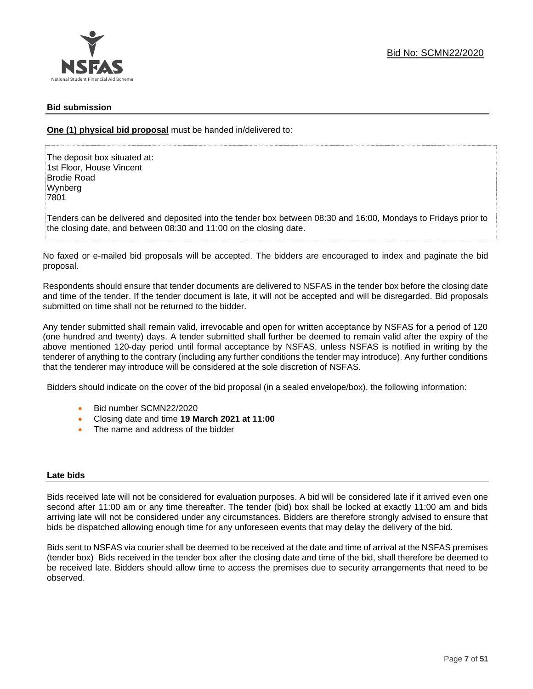# **Bid submission**

**One (1) physical bid proposal** must be handed in/delivered to:

The deposit box situated at: 1st Floor, House Vincent Brodie Road Wynberg 7801

Tenders can be delivered and deposited into the tender box between 08:30 and 16:00, Mondays to Fridays prior to the closing date, and between 08:30 and 11:00 on the closing date.

No faxed or e-mailed bid proposals will be accepted. The bidders are encouraged to index and paginate the bid proposal.

Respondents should ensure that tender documents are delivered to NSFAS in the tender box before the closing date and time of the tender. If the tender document is late, it will not be accepted and will be disregarded. Bid proposals submitted on time shall not be returned to the bidder.

Any tender submitted shall remain valid, irrevocable and open for written acceptance by NSFAS for a period of 120 (one hundred and twenty) days. A tender submitted shall further be deemed to remain valid after the expiry of the above mentioned 120-day period until formal acceptance by NSFAS, unless NSFAS is notified in writing by the tenderer of anything to the contrary (including any further conditions the tender may introduce). Any further conditions that the tenderer may introduce will be considered at the sole discretion of NSFAS.

Bidders should indicate on the cover of the bid proposal (in a sealed envelope/box), the following information:

- Bid number SCMN22/2020
- Closing date and time **19 March 2021 at 11:00**
- The name and address of the bidder

# **Late bids**

Bids received late will not be considered for evaluation purposes. A bid will be considered late if it arrived even one second after 11:00 am or any time thereafter. The tender (bid) box shall be locked at exactly 11:00 am and bids arriving late will not be considered under any circumstances. Bidders are therefore strongly advised to ensure that bids be dispatched allowing enough time for any unforeseen events that may delay the delivery of the bid.

Bids sent to NSFAS via courier shall be deemed to be received at the date and time of arrival at the NSFAS premises (tender box) Bids received in the tender box after the closing date and time of the bid, shall therefore be deemed to be received late. Bidders should allow time to access the premises due to security arrangements that need to be observed.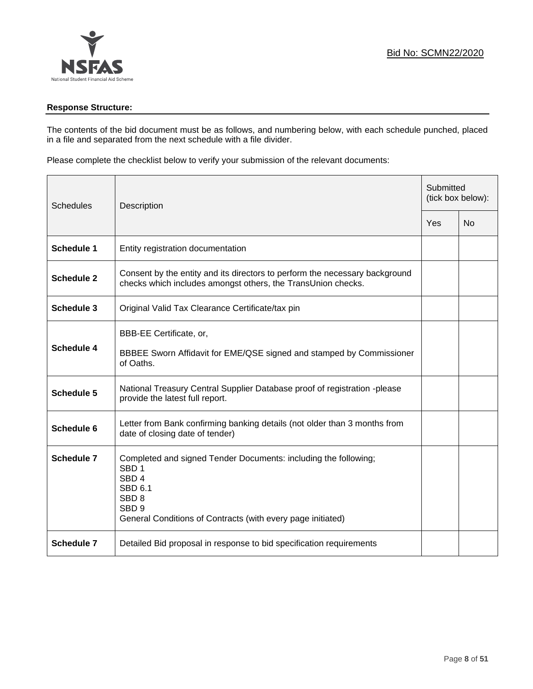# **Response Structure:**

The contents of the bid document must be as follows, and numbering below, with each schedule punched, placed in a file and separated from the next schedule with a file divider.

Please complete the checklist below to verify your submission of the relevant documents:

| <b>Schedules</b>  | Description                                                                                                                                                                                                                      |     | Submitted<br>(tick box below): |  |
|-------------------|----------------------------------------------------------------------------------------------------------------------------------------------------------------------------------------------------------------------------------|-----|--------------------------------|--|
|                   |                                                                                                                                                                                                                                  | Yes | <b>No</b>                      |  |
| <b>Schedule 1</b> | Entity registration documentation                                                                                                                                                                                                |     |                                |  |
| <b>Schedule 2</b> | Consent by the entity and its directors to perform the necessary background<br>checks which includes amongst others, the TransUnion checks.                                                                                      |     |                                |  |
| <b>Schedule 3</b> | Original Valid Tax Clearance Certificate/tax pin                                                                                                                                                                                 |     |                                |  |
| <b>Schedule 4</b> | BBB-EE Certificate, or,<br>BBBEE Sworn Affidavit for EME/QSE signed and stamped by Commissioner<br>of Oaths.                                                                                                                     |     |                                |  |
| <b>Schedule 5</b> | National Treasury Central Supplier Database proof of registration -please<br>provide the latest full report.                                                                                                                     |     |                                |  |
| Schedule 6        | Letter from Bank confirming banking details (not older than 3 months from<br>date of closing date of tender)                                                                                                                     |     |                                |  |
| <b>Schedule 7</b> | Completed and signed Tender Documents: including the following;<br>SBD <sub>1</sub><br>SBD <sub>4</sub><br><b>SBD 6.1</b><br>SBD <sub>8</sub><br>SBD <sub>9</sub><br>General Conditions of Contracts (with every page initiated) |     |                                |  |
| <b>Schedule 7</b> | Detailed Bid proposal in response to bid specification requirements                                                                                                                                                              |     |                                |  |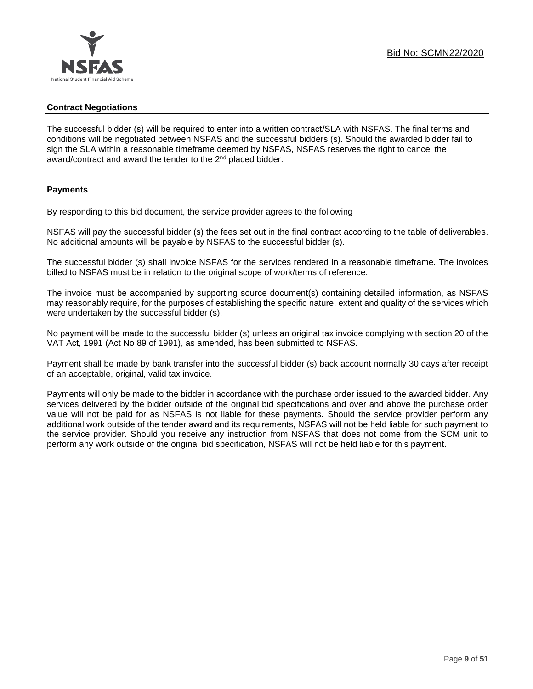# **Contract Negotiations**

The successful bidder (s) will be required to enter into a written contract/SLA with NSFAS. The final terms and conditions will be negotiated between NSFAS and the successful bidders (s). Should the awarded bidder fail to sign the SLA within a reasonable timeframe deemed by NSFAS, NSFAS reserves the right to cancel the award/contract and award the tender to the 2<sup>nd</sup> placed bidder.

# **Payments**

By responding to this bid document, the service provider agrees to the following

NSFAS will pay the successful bidder (s) the fees set out in the final contract according to the table of deliverables. No additional amounts will be payable by NSFAS to the successful bidder (s).

The successful bidder (s) shall invoice NSFAS for the services rendered in a reasonable timeframe. The invoices billed to NSFAS must be in relation to the original scope of work/terms of reference.

The invoice must be accompanied by supporting source document(s) containing detailed information, as NSFAS may reasonably require, for the purposes of establishing the specific nature, extent and quality of the services which were undertaken by the successful bidder (s).

No payment will be made to the successful bidder (s) unless an original tax invoice complying with section 20 of the VAT Act, 1991 (Act No 89 of 1991), as amended, has been submitted to NSFAS.

Payment shall be made by bank transfer into the successful bidder (s) back account normally 30 days after receipt of an acceptable, original, valid tax invoice.

Payments will only be made to the bidder in accordance with the purchase order issued to the awarded bidder. Any services delivered by the bidder outside of the original bid specifications and over and above the purchase order value will not be paid for as NSFAS is not liable for these payments. Should the service provider perform any additional work outside of the tender award and its requirements, NSFAS will not be held liable for such payment to the service provider. Should you receive any instruction from NSFAS that does not come from the SCM unit to perform any work outside of the original bid specification, NSFAS will not be held liable for this payment.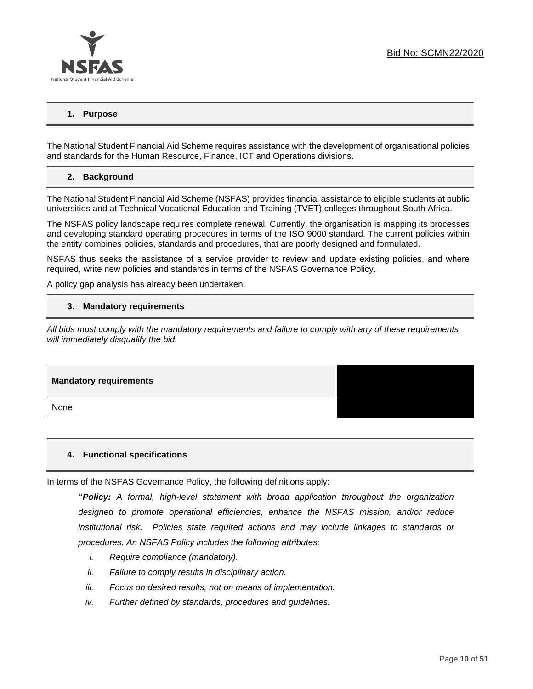

# **1. Purpose**

The National Student Financial Aid Scheme requires assistance with the development of organisational policies and standards for the Human Resource, Finance, ICT and Operations divisions.

# **2. Background**

The National Student Financial Aid Scheme (NSFAS) provides financial assistance to eligible students at public universities and at Technical Vocational Education and Training (TVET) colleges throughout South Africa.

The NSFAS policy landscape requires complete renewal. Currently, the organisation is mapping its processes and developing standard operating procedures in terms of the ISO 9000 standard. The current policies within the entity combines policies, standards and procedures, that are poorly designed and formulated.

NSFAS thus seeks the assistance of a service provider to review and update existing policies, and where required, write new policies and standards in terms of the NSFAS Governance Policy.

A policy gap analysis has already been undertaken.

#### **3. Mandatory requirements**

*All bids must comply with the mandatory requirements and failure to comply with any of these requirements will immediately disqualify the bid.*

# **Mandatory requirements** None

# **4. Functional specifications**

In terms of the NSFAS Governance Policy, the following definitions apply:

**"***Policy: A formal, high-level statement with broad application throughout the organization designed to promote operational efficiencies, enhance the NSFAS mission, and/or reduce institutional risk. Policies state required actions and may include linkages to standards or procedures. An NSFAS Policy includes the following attributes:*

- *i. Require compliance (mandatory).*
- *ii. Failure to comply results in disciplinary action.*
- *iii. Focus on desired results, not on means of implementation.*
- *iv. Further defined by standards, procedures and guidelines.*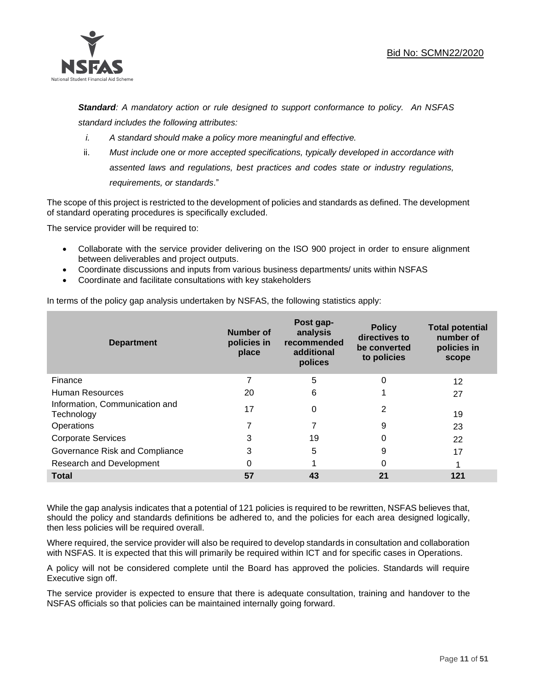

*Standard: A mandatory action or rule designed to support conformance to policy. An NSFAS standard includes the following attributes:*

- *i. A standard should make a policy more meaningful and effective.*
- ii. *Must include one or more accepted specifications, typically developed in accordance with assented laws and regulations, best practices and codes state or industry regulations, requirements, or standards*."

The scope of this project is restricted to the development of policies and standards as defined. The development of standard operating procedures is specifically excluded.

The service provider will be required to:

- Collaborate with the service provider delivering on the ISO 900 project in order to ensure alignment between deliverables and project outputs.
- Coordinate discussions and inputs from various business departments/ units within NSFAS
- Coordinate and facilitate consultations with key stakeholders

In terms of the policy gap analysis undertaken by NSFAS, the following statistics apply:

| <b>Department</b>                            | Number of<br>policies in<br>place | Post gap-<br>analysis<br>recommended<br>additional<br>polices | <b>Policy</b><br>directives to<br>be converted<br>to policies | <b>Total potential</b><br>number of<br>policies in<br>scope |
|----------------------------------------------|-----------------------------------|---------------------------------------------------------------|---------------------------------------------------------------|-------------------------------------------------------------|
| Finance                                      | 7                                 | 5                                                             | 0                                                             | 12                                                          |
| Human Resources                              | 20                                | 6                                                             |                                                               | 27                                                          |
| Information, Communication and<br>Technology | 17                                | 0                                                             | 2                                                             | 19                                                          |
| Operations                                   |                                   | 7                                                             | 9                                                             | 23                                                          |
| <b>Corporate Services</b>                    | 3                                 | 19                                                            | 0                                                             | 22                                                          |
| Governance Risk and Compliance               | 3                                 | 5                                                             | 9                                                             | 17                                                          |
| Research and Development                     | O                                 |                                                               | 0                                                             |                                                             |
| <b>Total</b>                                 | 57                                | 43                                                            | 21                                                            | 121                                                         |

While the gap analysis indicates that a potential of 121 policies is required to be rewritten, NSFAS believes that, should the policy and standards definitions be adhered to, and the policies for each area designed logically, then less policies will be required overall.

Where required, the service provider will also be required to develop standards in consultation and collaboration with NSFAS. It is expected that this will primarily be required within ICT and for specific cases in Operations.

A policy will not be considered complete until the Board has approved the policies. Standards will require Executive sign off.

The service provider is expected to ensure that there is adequate consultation, training and handover to the NSFAS officials so that policies can be maintained internally going forward.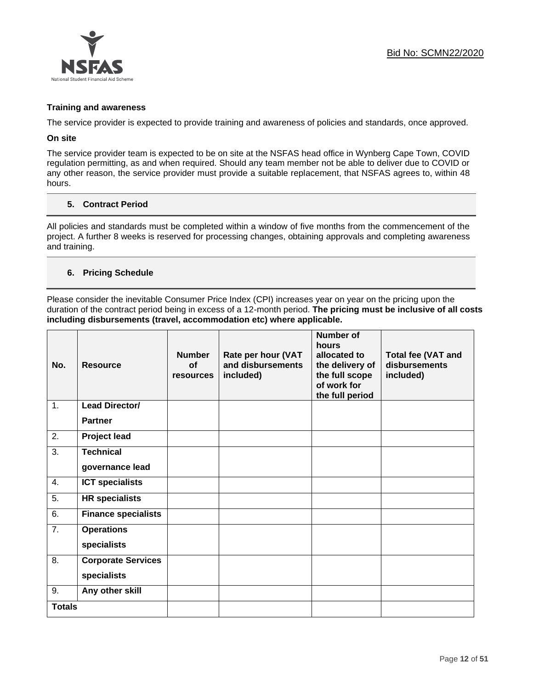

# **Training and awareness**

The service provider is expected to provide training and awareness of policies and standards, once approved.

# **On site**

The service provider team is expected to be on site at the NSFAS head office in Wynberg Cape Town, COVID regulation permitting, as and when required. Should any team member not be able to deliver due to COVID or any other reason, the service provider must provide a suitable replacement, that NSFAS agrees to, within 48 hours.

# **5. Contract Period**

All policies and standards must be completed within a window of five months from the commencement of the project. A further 8 weeks is reserved for processing changes, obtaining approvals and completing awareness and training.

# **6. Pricing Schedule**

Please consider the inevitable Consumer Price Index (CPI) increases year on year on the pricing upon the duration of the contract period being in excess of a 12-month period. **The pricing must be inclusive of all costs including disbursements (travel, accommodation etc) where applicable.** 

| No.              | <b>Resource</b>            | <b>Number</b><br><b>of</b><br>resources | Rate per hour (VAT<br>and disbursements<br>included) | <b>Number of</b><br>hours<br>allocated to<br>the delivery of<br>the full scope<br>of work for<br>the full period | <b>Total fee (VAT and</b><br>disbursements<br>included) |
|------------------|----------------------------|-----------------------------------------|------------------------------------------------------|------------------------------------------------------------------------------------------------------------------|---------------------------------------------------------|
| 1.               | Lead Director/             |                                         |                                                      |                                                                                                                  |                                                         |
|                  | <b>Partner</b>             |                                         |                                                      |                                                                                                                  |                                                         |
| 2.               | <b>Project lead</b>        |                                         |                                                      |                                                                                                                  |                                                         |
| 3.               | <b>Technical</b>           |                                         |                                                      |                                                                                                                  |                                                         |
|                  | governance lead            |                                         |                                                      |                                                                                                                  |                                                         |
| 4.               | <b>ICT specialists</b>     |                                         |                                                      |                                                                                                                  |                                                         |
| 5.               | <b>HR</b> specialists      |                                         |                                                      |                                                                                                                  |                                                         |
| 6.               | <b>Finance specialists</b> |                                         |                                                      |                                                                                                                  |                                                         |
| $\overline{7}$ . | <b>Operations</b>          |                                         |                                                      |                                                                                                                  |                                                         |
|                  | specialists                |                                         |                                                      |                                                                                                                  |                                                         |
| 8.               | <b>Corporate Services</b>  |                                         |                                                      |                                                                                                                  |                                                         |
|                  | specialists                |                                         |                                                      |                                                                                                                  |                                                         |
| 9.               | Any other skill            |                                         |                                                      |                                                                                                                  |                                                         |
| <b>Totals</b>    |                            |                                         |                                                      |                                                                                                                  |                                                         |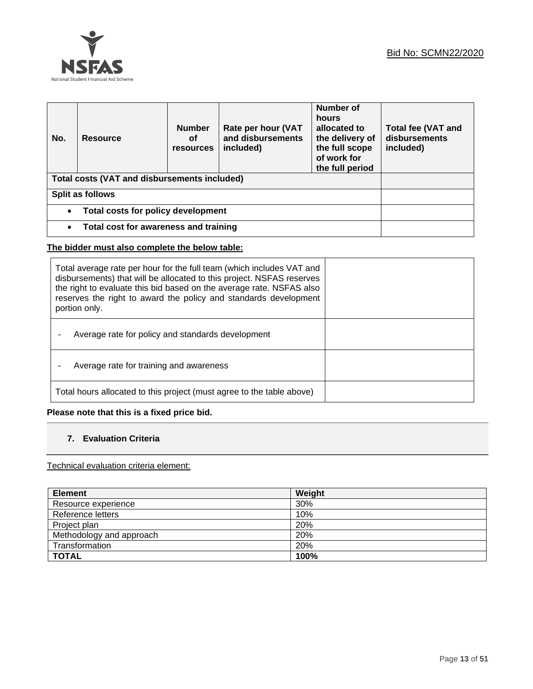

| No.                                                    | <b>Resource</b> | <b>Number</b><br>Οf<br><b>resources</b> | Rate per hour (VAT<br>and disbursements<br>included) | Number of<br>hours<br>allocated to<br>the delivery of<br>the full scope<br>of work for<br>the full period | <b>Total fee (VAT and</b><br>disbursements<br>included) |
|--------------------------------------------------------|-----------------|-----------------------------------------|------------------------------------------------------|-----------------------------------------------------------------------------------------------------------|---------------------------------------------------------|
| Total costs (VAT and disbursements included)           |                 |                                         |                                                      |                                                                                                           |                                                         |
| Split as follows                                       |                 |                                         |                                                      |                                                                                                           |                                                         |
| <b>Total costs for policy development</b><br>$\bullet$ |                 |                                         |                                                      |                                                                                                           |                                                         |
| Total cost for awareness and training<br>$\bullet$     |                 |                                         |                                                      |                                                                                                           |                                                         |

# **The bidder must also complete the below table:**

| Total average rate per hour for the full team (which includes VAT and<br>disbursements) that will be allocated to this project. NSFAS reserves<br>the right to evaluate this bid based on the average rate. NSFAS also<br>reserves the right to award the policy and standards development<br>portion only. |  |
|-------------------------------------------------------------------------------------------------------------------------------------------------------------------------------------------------------------------------------------------------------------------------------------------------------------|--|
| Average rate for policy and standards development                                                                                                                                                                                                                                                           |  |
| Average rate for training and awareness                                                                                                                                                                                                                                                                     |  |
| Total hours allocated to this project (must agree to the table above)                                                                                                                                                                                                                                       |  |

**Please note that this is a fixed price bid.**

# **7. Evaluation Criteria**

Technical evaluation criteria element:

| <b>Element</b>           | Weight |
|--------------------------|--------|
| Resource experience      | 30%    |
| Reference letters        | 10%    |
| Project plan             | 20%    |
| Methodology and approach | 20%    |
| Transformation           | 20%    |
| <b>TOTAL</b>             | 100%   |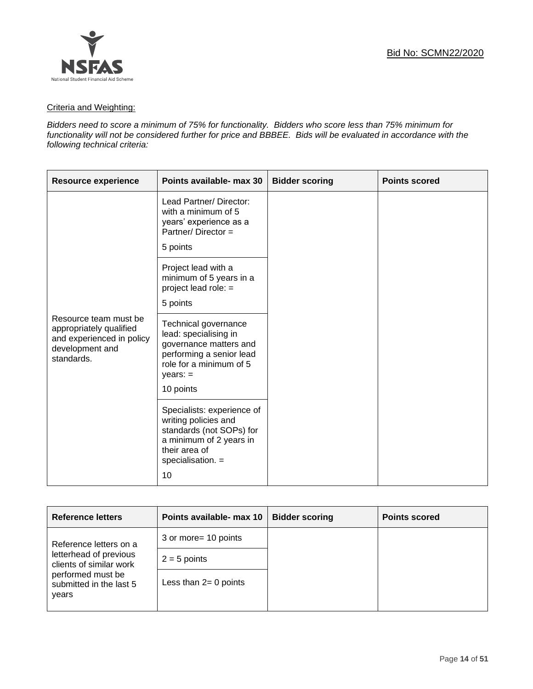

# Criteria and Weighting:

*Bidders need to score a minimum of 75% for functionality. Bidders who score less than 75% minimum for functionality will not be considered further for price and BBBEE. Bids will be evaluated in accordance with the following technical criteria:*

| <b>Resource experience</b>                                                                                     | Points available- max 30                                                                                                                                  | <b>Bidder scoring</b> | <b>Points scored</b> |
|----------------------------------------------------------------------------------------------------------------|-----------------------------------------------------------------------------------------------------------------------------------------------------------|-----------------------|----------------------|
|                                                                                                                | Lead Partner/Director:<br>with a minimum of 5<br>years' experience as a<br>Partner/Director =<br>5 points                                                 |                       |                      |
|                                                                                                                | Project lead with a<br>minimum of 5 years in a<br>project lead role: =<br>5 points                                                                        |                       |                      |
| Resource team must be<br>appropriately qualified<br>and experienced in policy<br>development and<br>standards. | Technical governance<br>lead: specialising in<br>governance matters and<br>performing a senior lead<br>role for a minimum of 5<br>$years: =$<br>10 points |                       |                      |
|                                                                                                                | Specialists: experience of<br>writing policies and<br>standards (not SOPs) for<br>a minimum of 2 years in<br>their area of<br>specialisation. $=$<br>10   |                       |                      |

| <b>Reference letters</b>                              | Points available- max 10 | <b>Bidder scoring</b> | <b>Points scored</b> |
|-------------------------------------------------------|--------------------------|-----------------------|----------------------|
| Reference letters on a                                | 3 or more= 10 points     |                       |                      |
| letterhead of previous<br>clients of similar work     | $2 = 5$ points           |                       |                      |
| performed must be<br>submitted in the last 5<br>years | Less than $2=0$ points   |                       |                      |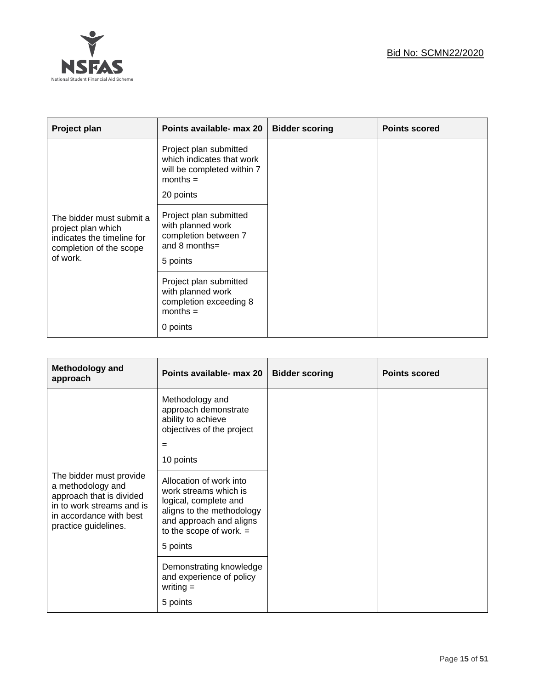

| Project plan                                                                                                        | Points available- max 20                                                                                     | <b>Bidder scoring</b> | <b>Points scored</b> |
|---------------------------------------------------------------------------------------------------------------------|--------------------------------------------------------------------------------------------------------------|-----------------------|----------------------|
|                                                                                                                     | Project plan submitted<br>which indicates that work<br>will be completed within 7<br>$months =$<br>20 points |                       |                      |
| The bidder must submit a<br>project plan which<br>indicates the timeline for<br>completion of the scope<br>of work. | Project plan submitted<br>with planned work<br>completion between 7<br>and 8 months=<br>5 points             |                       |                      |
|                                                                                                                     | Project plan submitted<br>with planned work<br>completion exceeding 8<br>$months =$<br>0 points              |                       |                      |

| Methodology and<br>approach                                                                                                                              | Points available- max 20                                                                                                                                                                                                                                                                     | <b>Bidder scoring</b> | <b>Points scored</b> |
|----------------------------------------------------------------------------------------------------------------------------------------------------------|----------------------------------------------------------------------------------------------------------------------------------------------------------------------------------------------------------------------------------------------------------------------------------------------|-----------------------|----------------------|
| The bidder must provide<br>a methodology and<br>approach that is divided<br>in to work streams and is<br>in accordance with best<br>practice guidelines. | Methodology and<br>approach demonstrate<br>ability to achieve<br>objectives of the project<br>$=$<br>10 points<br>Allocation of work into<br>work streams which is<br>logical, complete and<br>aligns to the methodology<br>and approach and aligns<br>to the scope of work. $=$<br>5 points |                       |                      |
|                                                                                                                                                          | Demonstrating knowledge<br>and experience of policy<br>writing $=$<br>5 points                                                                                                                                                                                                               |                       |                      |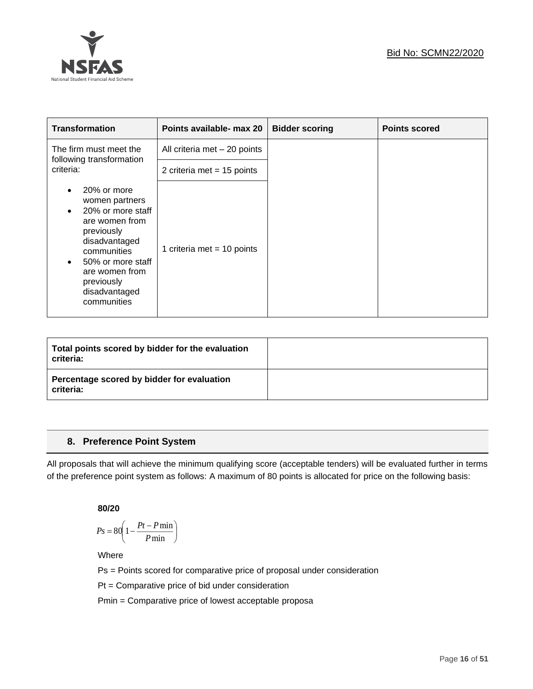

| <b>Transformation</b>                                                                                                                                                                                                                          | Points available- max 20      | <b>Bidder scoring</b> | <b>Points scored</b> |
|------------------------------------------------------------------------------------------------------------------------------------------------------------------------------------------------------------------------------------------------|-------------------------------|-----------------------|----------------------|
| The firm must meet the<br>following transformation                                                                                                                                                                                             | All criteria met $-20$ points |                       |                      |
| criteria:                                                                                                                                                                                                                                      | 2 criteria met = $15$ points  |                       |                      |
| 20% or more<br>$\bullet$<br>women partners<br>20% or more staff<br>$\bullet$<br>are women from<br>previously<br>disadvantaged<br>communities<br>50% or more staff<br>$\bullet$<br>are women from<br>previously<br>disadvantaged<br>communities | 1 criteria met = 10 points    |                       |                      |

| Total points scored by bidder for the evaluation<br>criteria: |  |
|---------------------------------------------------------------|--|
| Percentage scored by bidder for evaluation<br>criteria:       |  |

# **8. Preference Point System**

All proposals that will achieve the minimum qualifying score (acceptable tenders) will be evaluated further in terms of the preference point system as follows: A maximum of 80 points is allocated for price on the following basis:

**80/20**

$$
Ps = 80 \left( 1 - \frac{Pt - P \min}{P \min} \right)
$$

Where

Ps = Points scored for comparative price of proposal under consideration

Pt = Comparative price of bid under consideration

Pmin = Comparative price of lowest acceptable proposa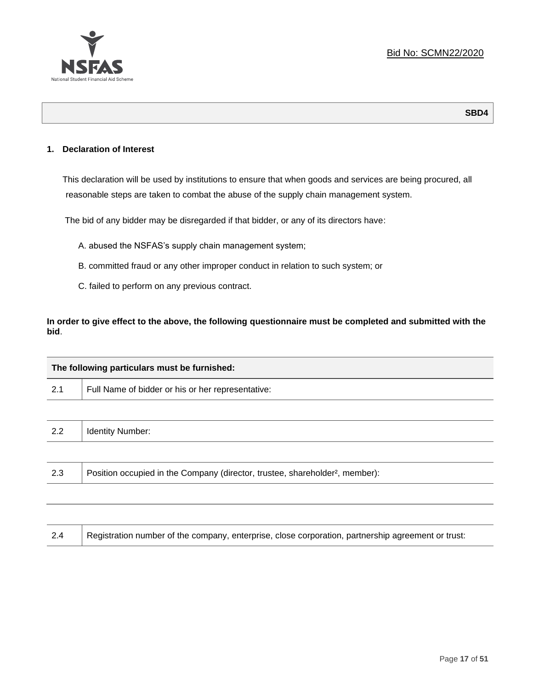

# **1. Declaration of Interest**

This declaration will be used by institutions to ensure that when goods and services are being procured, all reasonable steps are taken to combat the abuse of the supply chain management system.

The bid of any bidder may be disregarded if that bidder, or any of its directors have:

- A. abused the NSFAS's supply chain management system;
- B. committed fraud or any other improper conduct in relation to such system; or
- C. failed to perform on any previous contract.

**In order to give effect to the above, the following questionnaire must be completed and submitted with the bid**.

| The following particulars must be furnished: |                                                                                          |  |
|----------------------------------------------|------------------------------------------------------------------------------------------|--|
| 2.1                                          | Full Name of bidder or his or her representative:                                        |  |
|                                              |                                                                                          |  |
| 2.2                                          | <b>Identity Number:</b>                                                                  |  |
|                                              |                                                                                          |  |
| 2.3                                          | Position occupied in the Company (director, trustee, shareholder <sup>2</sup> , member): |  |
|                                              |                                                                                          |  |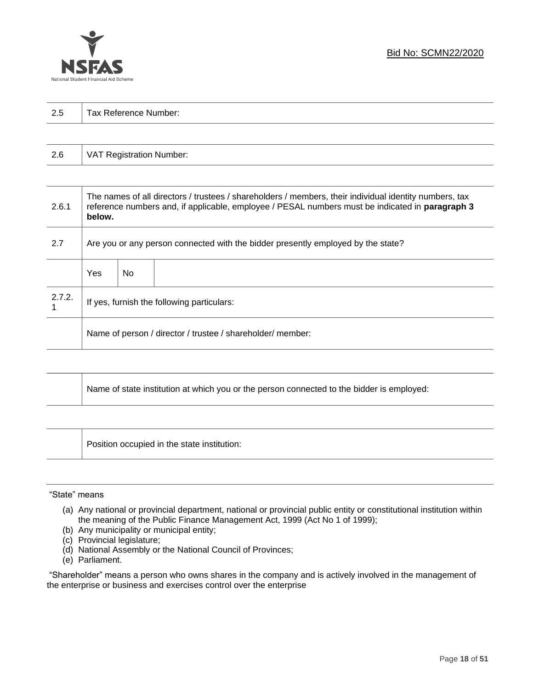

| っょ  |                       |
|-----|-----------------------|
| ن ک | Tax Reference Number: |
|     |                       |

| 2.6 | VAT Registration Number: |
|-----|--------------------------|
|-----|--------------------------|

| 2.6.1  | The names of all directors / trustees / shareholders / members, their individual identity numbers, tax<br>reference numbers and, if applicable, employee / PESAL numbers must be indicated in paragraph 3<br>below. |     |  |
|--------|---------------------------------------------------------------------------------------------------------------------------------------------------------------------------------------------------------------------|-----|--|
| 2.7    | Are you or any person connected with the bidder presently employed by the state?                                                                                                                                    |     |  |
|        | Yes                                                                                                                                                                                                                 | No. |  |
| 2.7.2. | If yes, furnish the following particulars:                                                                                                                                                                          |     |  |
|        | Name of person / director / trustee / shareholder/ member:                                                                                                                                                          |     |  |

| Name of state institution at which you or the person connected to the bidder is employed: |
|-------------------------------------------------------------------------------------------|
|                                                                                           |

Position occupied in the state institution:

# "State" means

┱

- (a) Any national or provincial department, national or provincial public entity or constitutional institution within the meaning of the Public Finance Management Act, 1999 (Act No 1 of 1999);
- (b) Any municipality or municipal entity;
- (c) Provincial legislature;
- (d) National Assembly or the National Council of Provinces;
- (e) Parliament.

"Shareholder" means a person who owns shares in the company and is actively involved in the management of the enterprise or business and exercises control over the enterprise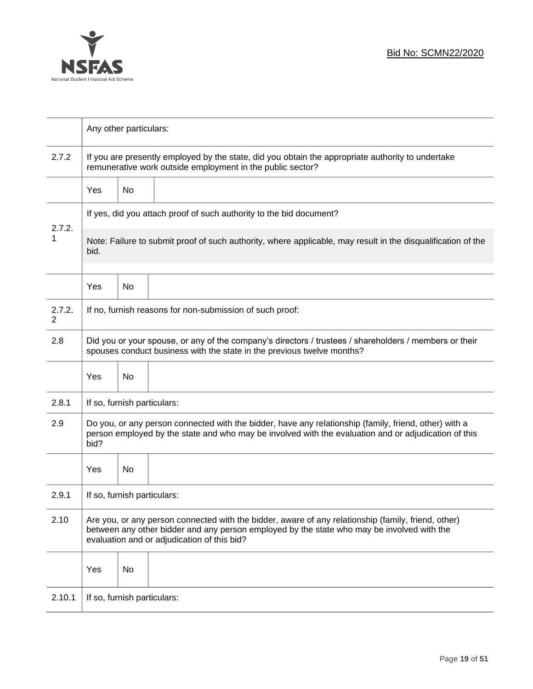

|             | Any other particulars:                                                                                                                                                                                                                           |                                                                     |                                                                                                                                                                                  |  |  |
|-------------|--------------------------------------------------------------------------------------------------------------------------------------------------------------------------------------------------------------------------------------------------|---------------------------------------------------------------------|----------------------------------------------------------------------------------------------------------------------------------------------------------------------------------|--|--|
| 2.7.2       | If you are presently employed by the state, did you obtain the appropriate authority to undertake<br>remunerative work outside employment in the public sector?                                                                                  |                                                                     |                                                                                                                                                                                  |  |  |
|             | Yes                                                                                                                                                                                                                                              | No                                                                  |                                                                                                                                                                                  |  |  |
|             |                                                                                                                                                                                                                                                  | If yes, did you attach proof of such authority to the bid document? |                                                                                                                                                                                  |  |  |
| 2.7.2.<br>1 | Note: Failure to submit proof of such authority, where applicable, may result in the disqualification of the<br>bid.                                                                                                                             |                                                                     |                                                                                                                                                                                  |  |  |
|             | Yes                                                                                                                                                                                                                                              | No                                                                  |                                                                                                                                                                                  |  |  |
| 2.7.2.<br>2 |                                                                                                                                                                                                                                                  |                                                                     | If no, furnish reasons for non-submission of such proof:                                                                                                                         |  |  |
| 2.8         |                                                                                                                                                                                                                                                  |                                                                     | Did you or your spouse, or any of the company's directors / trustees / shareholders / members or their<br>spouses conduct business with the state in the previous twelve months? |  |  |
|             | Yes                                                                                                                                                                                                                                              | No                                                                  |                                                                                                                                                                                  |  |  |
| 2.8.1       | If so, furnish particulars:                                                                                                                                                                                                                      |                                                                     |                                                                                                                                                                                  |  |  |
| 2.9         | Do you, or any person connected with the bidder, have any relationship (family, friend, other) with a<br>person employed by the state and who may be involved with the evaluation and or adjudication of this<br>bid?                            |                                                                     |                                                                                                                                                                                  |  |  |
|             | Yes                                                                                                                                                                                                                                              | No                                                                  |                                                                                                                                                                                  |  |  |
| 2.9.1       | If so, furnish particulars:                                                                                                                                                                                                                      |                                                                     |                                                                                                                                                                                  |  |  |
| 2.10        | Are you, or any person connected with the bidder, aware of any relationship (family, friend, other)<br>between any other bidder and any person employed by the state who may be involved with the<br>evaluation and or adjudication of this bid? |                                                                     |                                                                                                                                                                                  |  |  |
|             | Yes                                                                                                                                                                                                                                              | No                                                                  |                                                                                                                                                                                  |  |  |
| 2.10.1      | If so, furnish particulars:                                                                                                                                                                                                                      |                                                                     |                                                                                                                                                                                  |  |  |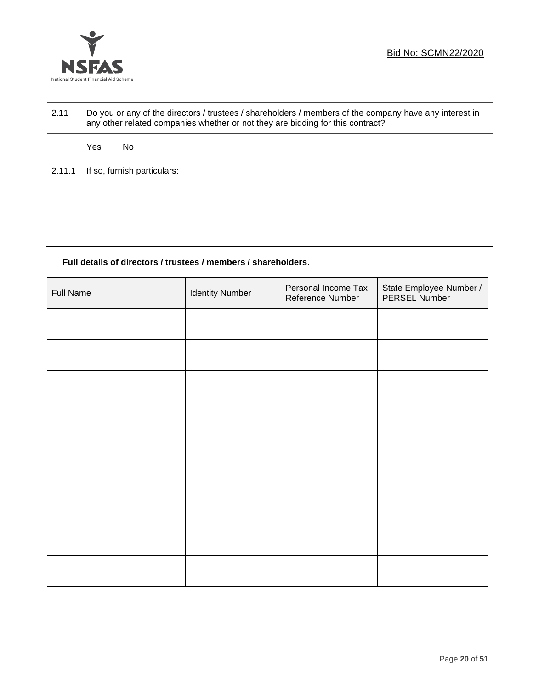

| 2.11   | Do you or any of the directors / trustees / shareholders / members of the company have any interest in<br>any other related companies whether or not they are bidding for this contract? |    |  |
|--------|------------------------------------------------------------------------------------------------------------------------------------------------------------------------------------------|----|--|
|        | Yes                                                                                                                                                                                      | No |  |
| 2.11.1 | If so, furnish particulars:                                                                                                                                                              |    |  |

# **Full details of directors / trustees / members / shareholders**.

| <b>Full Name</b> | <b>Identity Number</b> | Personal Income Tax<br>Reference Number | State Employee Number /<br>PERSEL Number |
|------------------|------------------------|-----------------------------------------|------------------------------------------|
|                  |                        |                                         |                                          |
|                  |                        |                                         |                                          |
|                  |                        |                                         |                                          |
|                  |                        |                                         |                                          |
|                  |                        |                                         |                                          |
|                  |                        |                                         |                                          |
|                  |                        |                                         |                                          |
|                  |                        |                                         |                                          |
|                  |                        |                                         |                                          |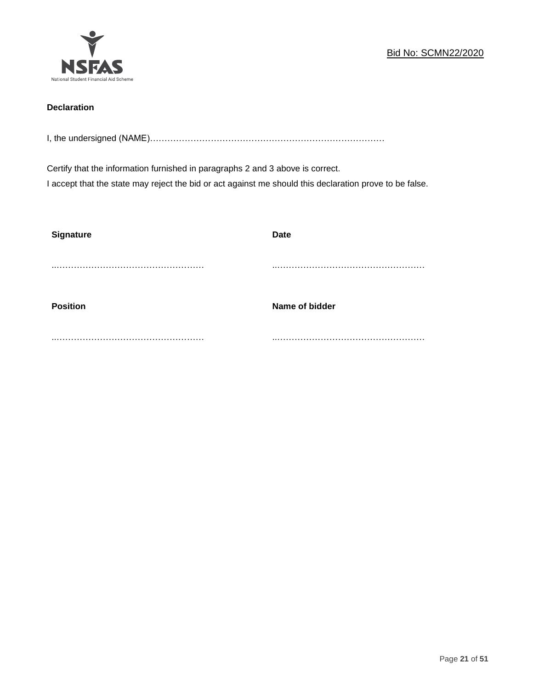

# **Declaration**

I, the undersigned (NAME)………………………………………………………………………

Certify that the information furnished in paragraphs 2 and 3 above is correct. I accept that the state may reject the bid or act against me should this declaration prove to be false.

| <b>Signature</b> | <b>Date</b>    |
|------------------|----------------|
|                  |                |
| <b>Position</b>  | Name of bidder |
|                  |                |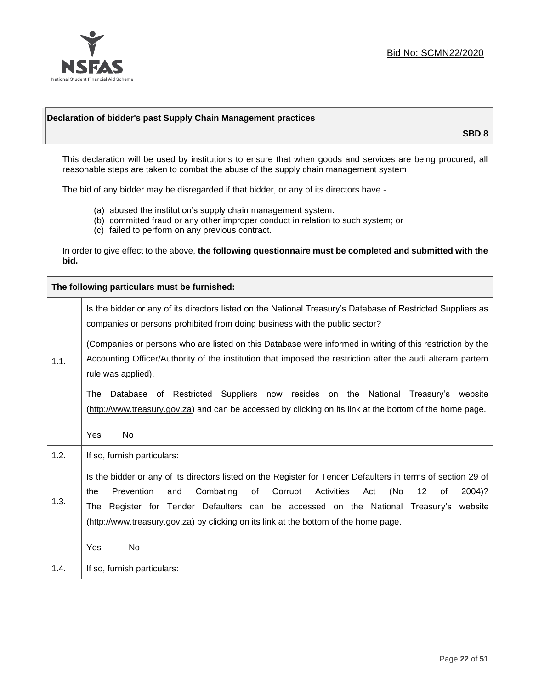

# **Declaration of bidder's past Supply Chain Management practices**

**SBD 8**

This declaration will be used by institutions to ensure that when goods and services are being procured, all reasonable steps are taken to combat the abuse of the supply chain management system.

The bid of any bidder may be disregarded if that bidder, or any of its directors have -

- (a) abused the institution's supply chain management system.
- (b) committed fraud or any other improper conduct in relation to such system; or
- (c) failed to perform on any previous contract.

In order to give effect to the above, **the following questionnaire must be completed and submitted with the bid.**

**The following particulars must be furnished:**

|      | Is the bidder or any of its directors listed on the National Treasury's Database of Restricted Suppliers as<br>companies or persons prohibited from doing business with the public sector?                                                                                                                                                                                                                        |                             |                                                                                                                                                                                                |  |
|------|-------------------------------------------------------------------------------------------------------------------------------------------------------------------------------------------------------------------------------------------------------------------------------------------------------------------------------------------------------------------------------------------------------------------|-----------------------------|------------------------------------------------------------------------------------------------------------------------------------------------------------------------------------------------|--|
| 1.1. | (Companies or persons who are listed on this Database were informed in writing of this restriction by the<br>Accounting Officer/Authority of the institution that imposed the restriction after the audi alteram partem<br>rule was applied).                                                                                                                                                                     |                             |                                                                                                                                                                                                |  |
|      | The                                                                                                                                                                                                                                                                                                                                                                                                               |                             | Database of Restricted Suppliers now resides on the National Treasury's<br>website<br>(http://www.treasury.gov.za) and can be accessed by clicking on its link at the bottom of the home page. |  |
|      | Yes                                                                                                                                                                                                                                                                                                                                                                                                               | <b>No</b>                   |                                                                                                                                                                                                |  |
| 1.2. |                                                                                                                                                                                                                                                                                                                                                                                                                   | If so, furnish particulars: |                                                                                                                                                                                                |  |
| 1.3. | Is the bidder or any of its directors listed on the Register for Tender Defaulters in terms of section 29 of<br>Prevention<br>Combating<br>Corrupt<br>Activities<br>(No<br>and<br>of<br>Act<br>$12 \,$<br>2004)?<br>the<br>of<br>Register for Tender Defaulters can be accessed on the National Treasury's website<br>The<br>(http://www.treasury.gov.za) by clicking on its link at the bottom of the home page. |                             |                                                                                                                                                                                                |  |
|      | Yes                                                                                                                                                                                                                                                                                                                                                                                                               | No                          |                                                                                                                                                                                                |  |
| 1.4. | If so, furnish particulars:                                                                                                                                                                                                                                                                                                                                                                                       |                             |                                                                                                                                                                                                |  |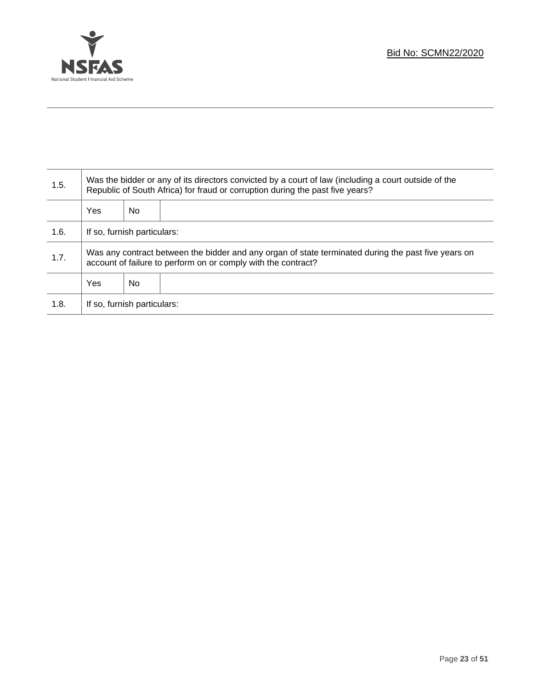

T

| 1.5. | Was the bidder or any of its directors convicted by a court of law (including a court outside of the<br>Republic of South Africa) for fraud or corruption during the past five years? |     |  |  |  |  |
|------|---------------------------------------------------------------------------------------------------------------------------------------------------------------------------------------|-----|--|--|--|--|
|      | Yes                                                                                                                                                                                   | No. |  |  |  |  |
| 1.6. | If so, furnish particulars:                                                                                                                                                           |     |  |  |  |  |
| 1.7. | Was any contract between the bidder and any organ of state terminated during the past five years on<br>account of failure to perform on or comply with the contract?                  |     |  |  |  |  |
|      | Yes<br>No.                                                                                                                                                                            |     |  |  |  |  |
| 1.8. | If so, furnish particulars:                                                                                                                                                           |     |  |  |  |  |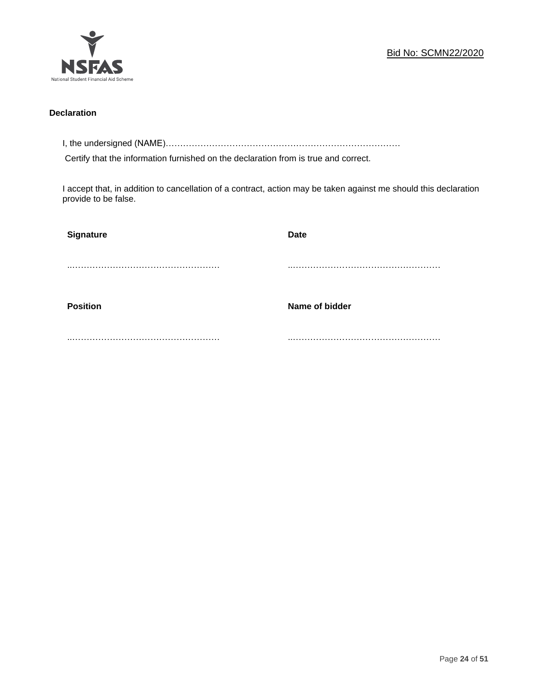

# **Declaration**

I, the undersigned (NAME)………………………………………………………………………

Certify that the information furnished on the declaration from is true and correct.

I accept that, in addition to cancellation of a contract, action may be taken against me should this declaration provide to be false.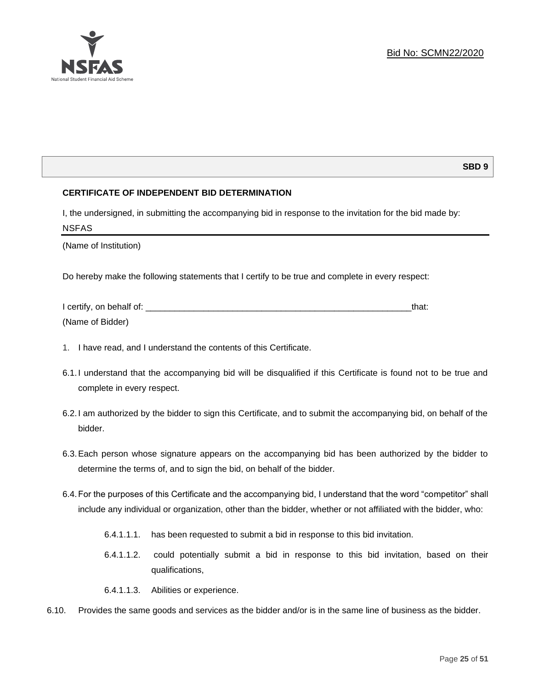# **SBD 9**

# **CERTIFICATE OF INDEPENDENT BID DETERMINATION**

I, the undersigned, in submitting the accompanying bid in response to the invitation for the bid made by: NSFAS

(Name of Institution)

Do hereby make the following statements that I certify to be true and complete in every respect:

| I certify, on behalf of: |  |
|--------------------------|--|
| (Name of Bidder)         |  |

- 1. I have read, and I understand the contents of this Certificate.
- 6.1.I understand that the accompanying bid will be disqualified if this Certificate is found not to be true and complete in every respect.
- 6.2.I am authorized by the bidder to sign this Certificate, and to submit the accompanying bid, on behalf of the bidder.
- 6.3.Each person whose signature appears on the accompanying bid has been authorized by the bidder to determine the terms of, and to sign the bid, on behalf of the bidder.
- 6.4.For the purposes of this Certificate and the accompanying bid, I understand that the word "competitor" shall include any individual or organization, other than the bidder, whether or not affiliated with the bidder, who:
	- 6.4.1.1.1. has been requested to submit a bid in response to this bid invitation.
	- 6.4.1.1.2. could potentially submit a bid in response to this bid invitation, based on their qualifications,
	- 6.4.1.1.3. Abilities or experience.
- 6.10. Provides the same goods and services as the bidder and/or is in the same line of business as the bidder.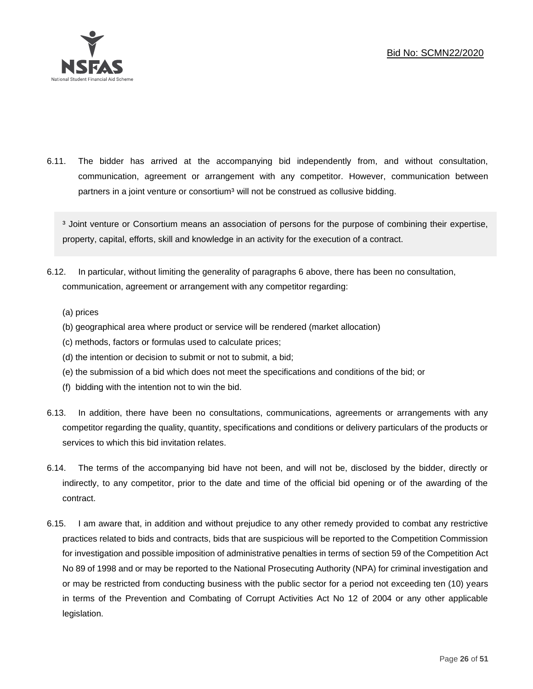

6.11. The bidder has arrived at the accompanying bid independently from, and without consultation, communication, agreement or arrangement with any competitor. However, communication between partners in a joint venture or consortium<sup>3</sup> will not be construed as collusive bidding.

<sup>3</sup> Joint venture or Consortium means an association of persons for the purpose of combining their expertise, property, capital, efforts, skill and knowledge in an activity for the execution of a contract.

- 6.12. In particular, without limiting the generality of paragraphs 6 above, there has been no consultation, communication, agreement or arrangement with any competitor regarding:
	- (a) prices
	- (b) geographical area where product or service will be rendered (market allocation)
	- (c) methods, factors or formulas used to calculate prices;
	- (d) the intention or decision to submit or not to submit, a bid;
	- (e) the submission of a bid which does not meet the specifications and conditions of the bid; or
	- (f) bidding with the intention not to win the bid.
- 6.13. In addition, there have been no consultations, communications, agreements or arrangements with any competitor regarding the quality, quantity, specifications and conditions or delivery particulars of the products or services to which this bid invitation relates.
- 6.14. The terms of the accompanying bid have not been, and will not be, disclosed by the bidder, directly or indirectly, to any competitor, prior to the date and time of the official bid opening or of the awarding of the contract.
- 6.15. I am aware that, in addition and without prejudice to any other remedy provided to combat any restrictive practices related to bids and contracts, bids that are suspicious will be reported to the Competition Commission for investigation and possible imposition of administrative penalties in terms of section 59 of the Competition Act No 89 of 1998 and or may be reported to the National Prosecuting Authority (NPA) for criminal investigation and or may be restricted from conducting business with the public sector for a period not exceeding ten (10) years in terms of the Prevention and Combating of Corrupt Activities Act No 12 of 2004 or any other applicable legislation.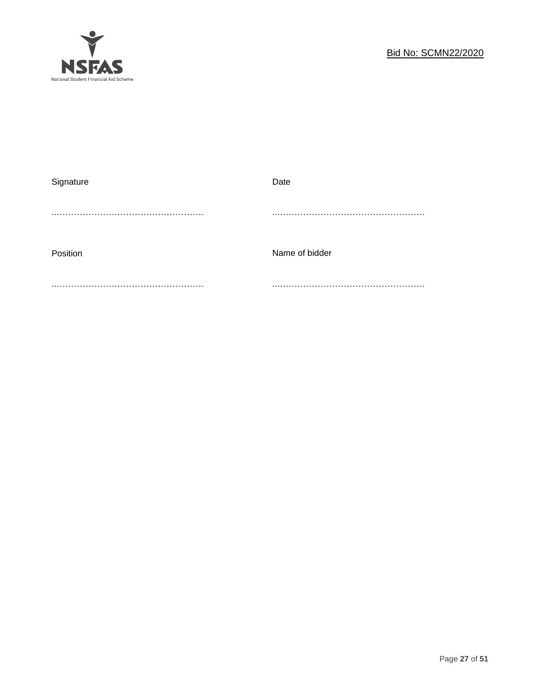

| Signature | Date           |
|-----------|----------------|
|           |                |
|           |                |
|           |                |
|           |                |
| Position  | Name of bidder |
|           |                |
|           |                |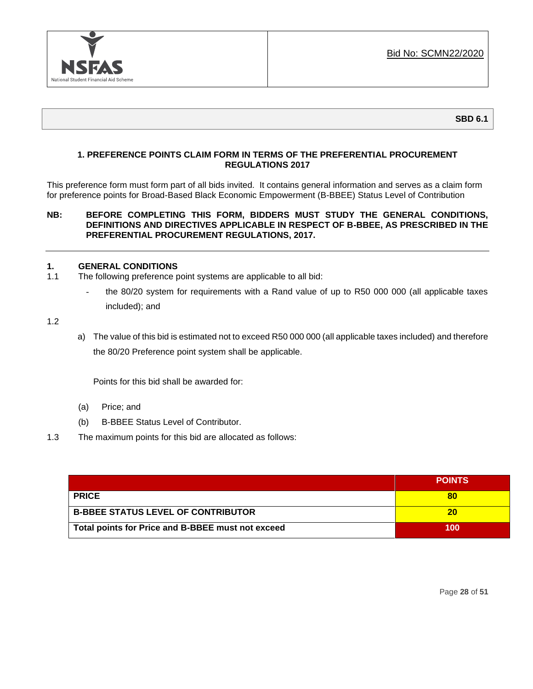

# **1. PREFERENCE POINTS CLAIM FORM IN TERMS OF THE PREFERENTIAL PROCUREMENT REGULATIONS 2017**

This preference form must form part of all bids invited. It contains general information and serves as a claim form for preference points for Broad-Based Black Economic Empowerment (B-BBEE) Status Level of Contribution

# **NB: BEFORE COMPLETING THIS FORM, BIDDERS MUST STUDY THE GENERAL CONDITIONS, DEFINITIONS AND DIRECTIVES APPLICABLE IN RESPECT OF B-BBEE, AS PRESCRIBED IN THE PREFERENTIAL PROCUREMENT REGULATIONS, 2017.**

# **1. GENERAL CONDITIONS**

- 1.1 The following preference point systems are applicable to all bid:
	- the 80/20 system for requirements with a Rand value of up to R50 000 000 (all applicable taxes included); and

1.2

a) The value of this bid is estimated not to exceed R50 000 000 (all applicable taxes included) and therefore the 80/20 Preference point system shall be applicable.

Points for this bid shall be awarded for:

- (a) Price; and
- (b) B-BBEE Status Level of Contributor.
- 1.3 The maximum points for this bid are allocated as follows:

|                                                   | <b>POINTS</b> |
|---------------------------------------------------|---------------|
| <b>PRICE</b>                                      | 80            |
| <b>B-BBEE STATUS LEVEL OF CONTRIBUTOR</b>         | 20            |
| Total points for Price and B-BBEE must not exceed | 100           |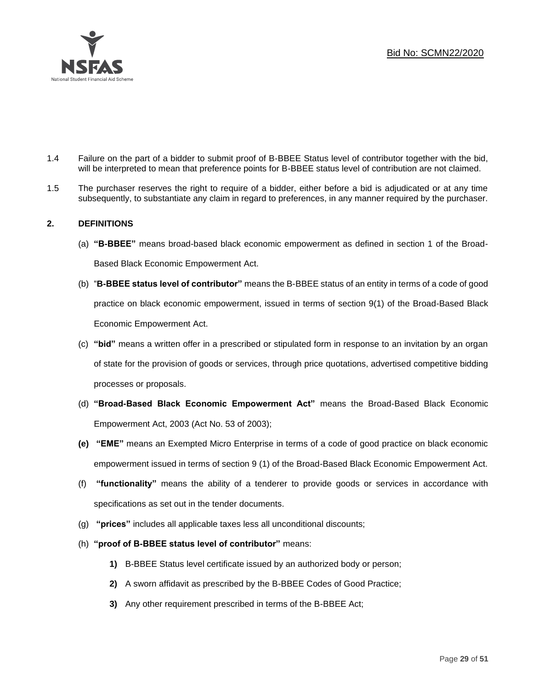

- 1.4 Failure on the part of a bidder to submit proof of B-BBEE Status level of contributor together with the bid, will be interpreted to mean that preference points for B-BBEE status level of contribution are not claimed.
- 1.5 The purchaser reserves the right to require of a bidder, either before a bid is adjudicated or at any time subsequently, to substantiate any claim in regard to preferences, in any manner required by the purchaser.

# **2. DEFINITIONS**

- (a) **"B-BBEE"** means broad-based black economic empowerment as defined in section 1 of the Broad-Based Black Economic Empowerment Act.
- (b) "**B-BBEE status level of contributor"** means the B-BBEE status of an entity in terms of a code of good practice on black economic empowerment, issued in terms of section 9(1) of the Broad-Based Black Economic Empowerment Act.
- (c) **"bid"** means a written offer in a prescribed or stipulated form in response to an invitation by an organ of state for the provision of goods or services, through price quotations, advertised competitive bidding processes or proposals.
- (d) **"Broad-Based Black Economic Empowerment Act"** means the Broad-Based Black Economic Empowerment Act, 2003 (Act No. 53 of 2003);
- **(e) "EME"** means an Exempted Micro Enterprise in terms of a code of good practice on black economic empowerment issued in terms of section 9 (1) of the Broad-Based Black Economic Empowerment Act.
- (f) **"functionality"** means the ability of a tenderer to provide goods or services in accordance with specifications as set out in the tender documents.
- (g) **"prices"** includes all applicable taxes less all unconditional discounts;
- (h) **"proof of B-BBEE status level of contributor"** means:
	- **1)** B-BBEE Status level certificate issued by an authorized body or person;
	- **2)** A sworn affidavit as prescribed by the B-BBEE Codes of Good Practice;
	- **3)** Any other requirement prescribed in terms of the B-BBEE Act;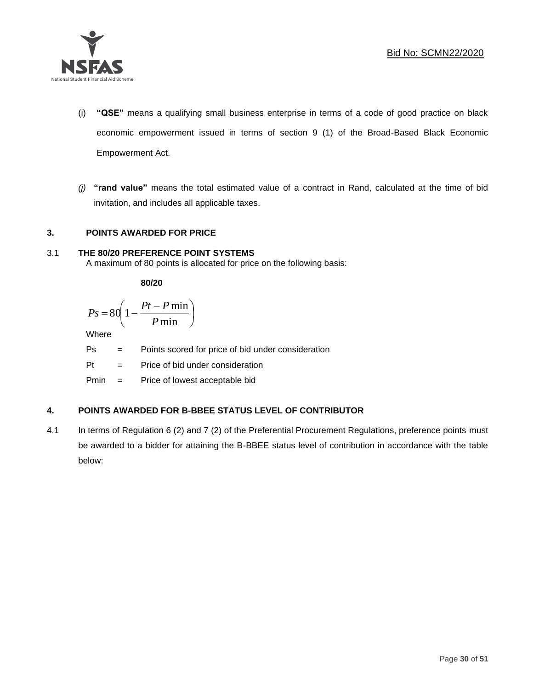

- (i) **"QSE"** means a qualifying small business enterprise in terms of a code of good practice on black economic empowerment issued in terms of section 9 (1) of the Broad-Based Black Economic Empowerment Act.
- *(j)* **"rand value"** means the total estimated value of a contract in Rand, calculated at the time of bid invitation, and includes all applicable taxes.

# **3. POINTS AWARDED FOR PRICE**

# 3.1 **THE 80/20 PREFERENCE POINT SYSTEMS**

A maximum of 80 points is allocated for price on the following basis:

**80/20**

$$
Ps = 80 \left( 1 - \frac{Pt - P \min}{P \min} \right)
$$

Where

Ps = Points scored for price of bid under consideration

l

Pt = Price of bid under consideration

Pmin = Price of lowest acceptable bid

# **4. POINTS AWARDED FOR B-BBEE STATUS LEVEL OF CONTRIBUTOR**

4.1 In terms of Regulation 6 (2) and 7 (2) of the Preferential Procurement Regulations, preference points must be awarded to a bidder for attaining the B-BBEE status level of contribution in accordance with the table below: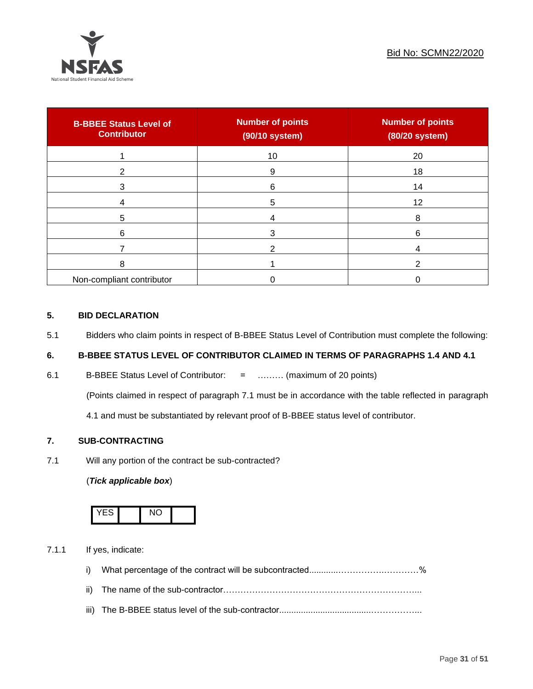

| <b>B-BBEE Status Level of</b><br><b>Contributor</b> | <b>Number of points</b><br>(90/10 system) | <b>Number of points</b><br>(80/20 system) |
|-----------------------------------------------------|-------------------------------------------|-------------------------------------------|
|                                                     | 10                                        | 20                                        |
| 2                                                   | 9                                         | 18                                        |
| 3                                                   | 6                                         | 14                                        |
|                                                     | 5                                         | 12                                        |
| 5                                                   |                                           | 8                                         |
| 6                                                   | 3                                         | 6                                         |
|                                                     |                                           |                                           |
| 8                                                   |                                           |                                           |
| Non-compliant contributor                           |                                           |                                           |

# **5. BID DECLARATION**

5.1 Bidders who claim points in respect of B-BBEE Status Level of Contribution must complete the following:

# **6. B-BBEE STATUS LEVEL OF CONTRIBUTOR CLAIMED IN TERMS OF PARAGRAPHS 1.4 AND 4.1**

6.1 B-BBEE Status Level of Contributor: = ……… (maximum of 20 points)

(Points claimed in respect of paragraph 7.1 must be in accordance with the table reflected in paragraph

4.1 and must be substantiated by relevant proof of B-BBEE status level of contributor.

# **7. SUB-CONTRACTING**

7.1 Will any portion of the contract be sub-contracted?

# (*Tick applicable box*)



7.1.1 If yes, indicate:

- i) What percentage of the contract will be subcontracted............…………….…………%
- ii) The name of the sub-contractor…………………………………………………………...
- iii) The B-BBEE status level of the sub-contractor......................................……………...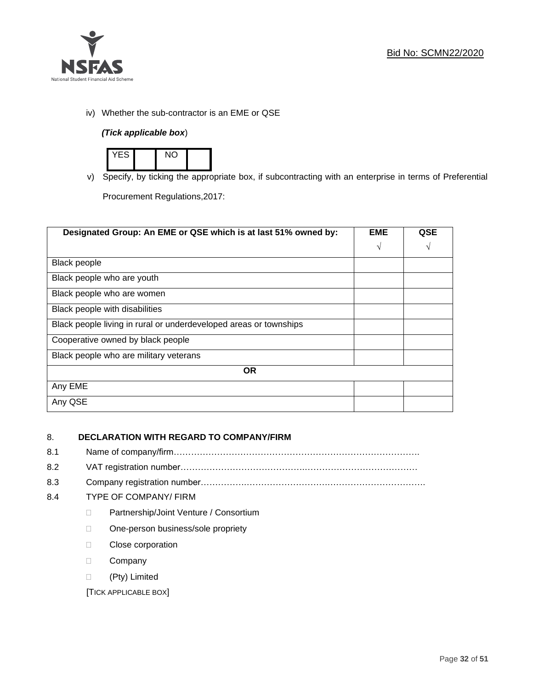

iv) Whether the sub-contractor is an EME or QSE

# *(Tick applicable box*)



v) Specify, by ticking the appropriate box, if subcontracting with an enterprise in terms of Preferential

Procurement Regulations,2017:

| Designated Group: An EME or QSE which is at last 51% owned by:    | <b>EME</b> | <b>QSE</b> |
|-------------------------------------------------------------------|------------|------------|
|                                                                   | $\sqrt{ }$ | V          |
| <b>Black people</b>                                               |            |            |
| Black people who are youth                                        |            |            |
| Black people who are women                                        |            |            |
| Black people with disabilities                                    |            |            |
| Black people living in rural or underdeveloped areas or townships |            |            |
| Cooperative owned by black people                                 |            |            |
| Black people who are military veterans                            |            |            |
| <b>OR</b>                                                         |            |            |
| Any EME                                                           |            |            |
| Any QSE                                                           |            |            |

# 8. **DECLARATION WITH REGARD TO COMPANY/FIRM**

- 8.1 Name of company/firm………………………………………………………………………….
- 8.2 VAT registration number…………………………………….…………………………………
- 8.3 Company registration number…………….……………………….…………………………….

# 8.4 TYPE OF COMPANY/ FIRM

- D Partnership/Joint Venture / Consortium
- □ One-person business/sole propriety
- D Close corporation
- D Company
- (Pty) Limited

[TICK APPLICABLE BOX]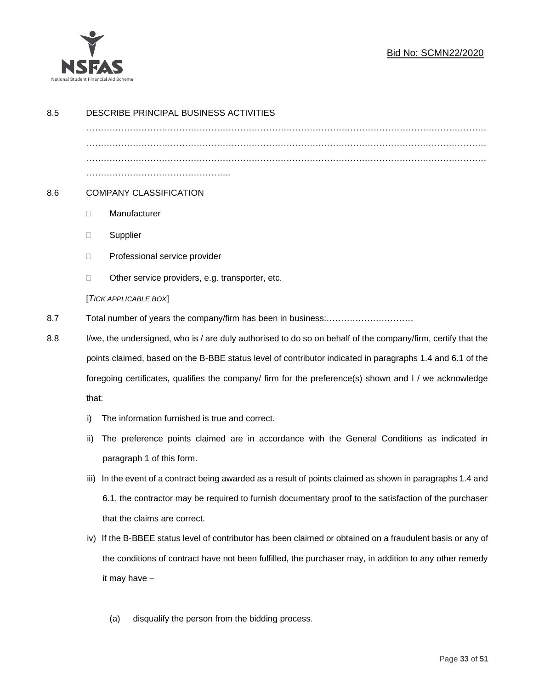

| 8.5 |                                                                                                           | DESCRIBE PRINCIPAL BUSINESS ACTIVITIES                                                                       |  |  |  |  |
|-----|-----------------------------------------------------------------------------------------------------------|--------------------------------------------------------------------------------------------------------------|--|--|--|--|
|     |                                                                                                           |                                                                                                              |  |  |  |  |
|     |                                                                                                           |                                                                                                              |  |  |  |  |
| 8.6 |                                                                                                           | <b>COMPANY CLASSIFICATION</b>                                                                                |  |  |  |  |
|     | $\Box$                                                                                                    | Manufacturer                                                                                                 |  |  |  |  |
|     | Ц                                                                                                         | Supplier                                                                                                     |  |  |  |  |
|     | □                                                                                                         | Professional service provider                                                                                |  |  |  |  |
|     | □                                                                                                         | Other service providers, e.g. transporter, etc.                                                              |  |  |  |  |
|     | [TICK APPLICABLE BOX]                                                                                     |                                                                                                              |  |  |  |  |
| 8.7 |                                                                                                           |                                                                                                              |  |  |  |  |
| 8.8 |                                                                                                           | I/we, the undersigned, who is / are duly authorised to do so on behalf of the company/firm, certify that the |  |  |  |  |
|     | points claimed, based on the B-BBE status level of contributor indicated in paragraphs 1.4 and 6.1 of the |                                                                                                              |  |  |  |  |
|     | foregoing certificates, qualifies the company/ firm for the preference(s) shown and I / we acknowledge    |                                                                                                              |  |  |  |  |
|     |                                                                                                           | that:                                                                                                        |  |  |  |  |
|     | The information furnished is true and correct.<br>i)                                                      |                                                                                                              |  |  |  |  |
|     | ii)                                                                                                       | The preference points claimed are in accordance with the General Conditions as indicated in                  |  |  |  |  |
|     |                                                                                                           | paragraph 1 of this form.                                                                                    |  |  |  |  |
|     | iii)                                                                                                      | In the event of a contract being awarded as a result of points claimed as shown in paragraphs 1.4 and        |  |  |  |  |
|     |                                                                                                           | 6.1, the contractor may be required to furnish documentary proof to the satisfaction of the purchaser        |  |  |  |  |
|     |                                                                                                           | that the claims are correct.                                                                                 |  |  |  |  |
|     | iv)                                                                                                       | If the B-BBEE status level of contributor has been claimed or obtained on a fraudulent basis or any of       |  |  |  |  |
|     |                                                                                                           | the conditions of contract have not been fulfilled, the purchaser may, in addition to any other remedy       |  |  |  |  |
|     |                                                                                                           | it may have -                                                                                                |  |  |  |  |
|     |                                                                                                           |                                                                                                              |  |  |  |  |

(a) disqualify the person from the bidding process.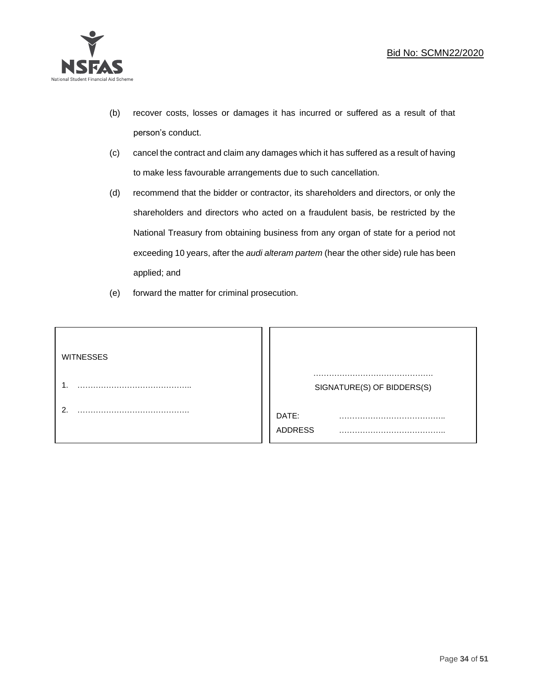

- (b) recover costs, losses or damages it has incurred or suffered as a result of that person's conduct.
- (c) cancel the contract and claim any damages which it has suffered as a result of having to make less favourable arrangements due to such cancellation.
- (d) recommend that the bidder or contractor, its shareholders and directors, or only the shareholders and directors who acted on a fraudulent basis, be restricted by the National Treasury from obtaining business from any organ of state for a period not exceeding 10 years, after the *audi alteram partem* (hear the other side) rule has been applied; and
- (e) forward the matter for criminal prosecution.

| <b>WITNESSES</b> |                            |
|------------------|----------------------------|
|                  | SIGNATURE(S) OF BIDDERS(S) |
|                  | DATE:<br>.<br>ADDRESS      |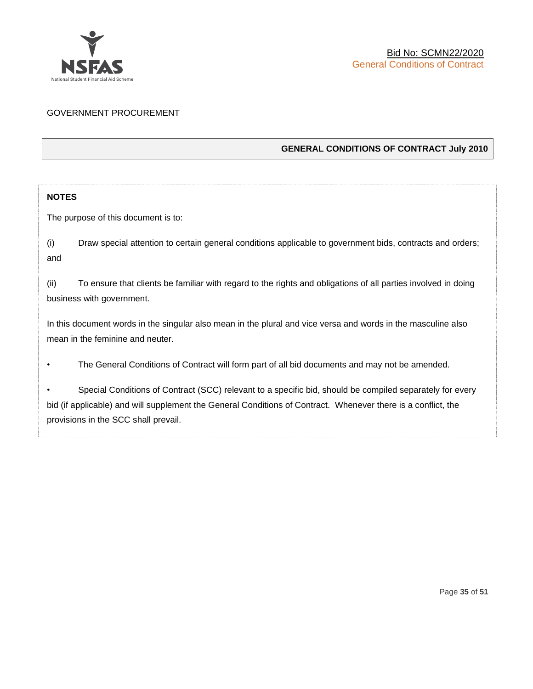

# GOVERNMENT PROCUREMENT

# **GENERAL CONDITIONS OF CONTRACT July 2010**

# **NOTES**

The purpose of this document is to:

(i) Draw special attention to certain general conditions applicable to government bids, contracts and orders; and

(ii) To ensure that clients be familiar with regard to the rights and obligations of all parties involved in doing business with government.

In this document words in the singular also mean in the plural and vice versa and words in the masculine also mean in the feminine and neuter.

• The General Conditions of Contract will form part of all bid documents and may not be amended.

Special Conditions of Contract (SCC) relevant to a specific bid, should be compiled separately for every bid (if applicable) and will supplement the General Conditions of Contract. Whenever there is a conflict, the provisions in the SCC shall prevail.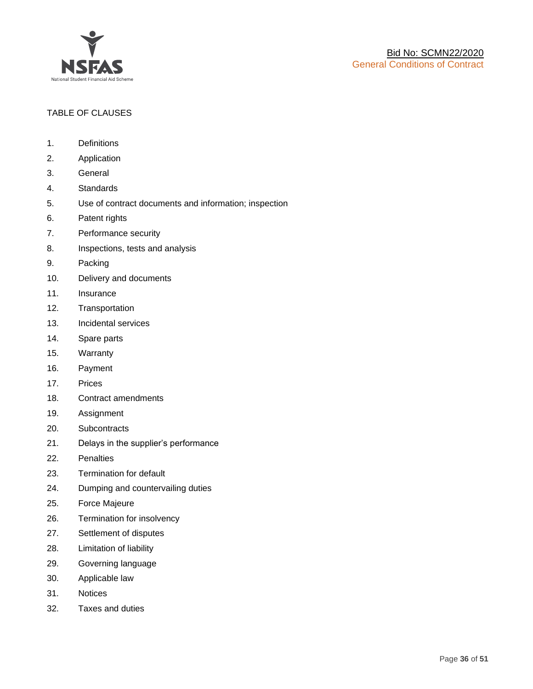

# TABLE OF CLAUSES

- 1. Definitions
- 2. Application
- 3. General
- 4. Standards
- 5. Use of contract documents and information; inspection
- 6. Patent rights
- 7. Performance security
- 8. Inspections, tests and analysis
- 9. Packing
- 10. Delivery and documents
- 11. Insurance
- 12. Transportation
- 13. Incidental services
- 14. Spare parts
- 15. Warranty
- 16. Payment
- 17. Prices
- 18. Contract amendments
- 19. Assignment
- 20. Subcontracts
- 21. Delays in the supplier's performance
- 22. Penalties
- 23. Termination for default
- 24. Dumping and countervailing duties
- 25. Force Majeure
- 26. Termination for insolvency
- 27. Settlement of disputes
- 28. Limitation of liability
- 29. Governing language
- 30. Applicable law
- 31. Notices
- 32. Taxes and duties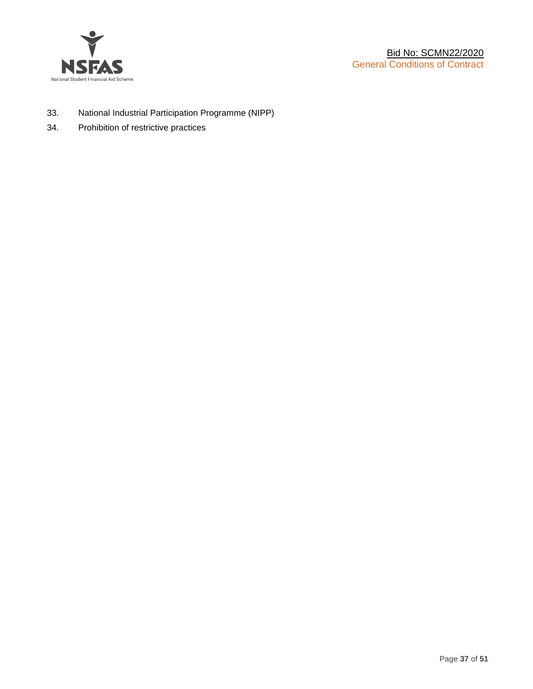

- 33. National Industrial Participation Programme (NIPP)
- 34. Prohibition of restrictive practices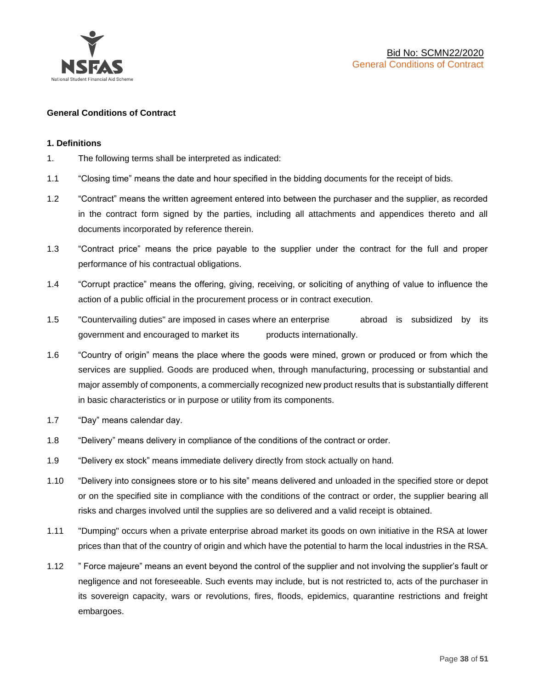

# **General Conditions of Contract**

# **1. Definitions**

- 1. The following terms shall be interpreted as indicated:
- 1.1 "Closing time" means the date and hour specified in the bidding documents for the receipt of bids.
- 1.2 "Contract" means the written agreement entered into between the purchaser and the supplier, as recorded in the contract form signed by the parties, including all attachments and appendices thereto and all documents incorporated by reference therein.
- 1.3 "Contract price" means the price payable to the supplier under the contract for the full and proper performance of his contractual obligations.
- 1.4 "Corrupt practice" means the offering, giving, receiving, or soliciting of anything of value to influence the action of a public official in the procurement process or in contract execution.
- 1.5 "Countervailing duties" are imposed in cases where an enterprise abroad is subsidized by its government and encouraged to market its products internationally.
- 1.6 "Country of origin" means the place where the goods were mined, grown or produced or from which the services are supplied. Goods are produced when, through manufacturing, processing or substantial and major assembly of components, a commercially recognized new product results that is substantially different in basic characteristics or in purpose or utility from its components.
- 1.7 "Day" means calendar day.
- 1.8 "Delivery" means delivery in compliance of the conditions of the contract or order.
- 1.9 "Delivery ex stock" means immediate delivery directly from stock actually on hand.
- 1.10 "Delivery into consignees store or to his site" means delivered and unloaded in the specified store or depot or on the specified site in compliance with the conditions of the contract or order, the supplier bearing all risks and charges involved until the supplies are so delivered and a valid receipt is obtained.
- 1.11 "Dumping" occurs when a private enterprise abroad market its goods on own initiative in the RSA at lower prices than that of the country of origin and which have the potential to harm the local industries in the RSA.
- 1.12 " Force majeure" means an event beyond the control of the supplier and not involving the supplier's fault or negligence and not foreseeable. Such events may include, but is not restricted to, acts of the purchaser in its sovereign capacity, wars or revolutions, fires, floods, epidemics, quarantine restrictions and freight embargoes.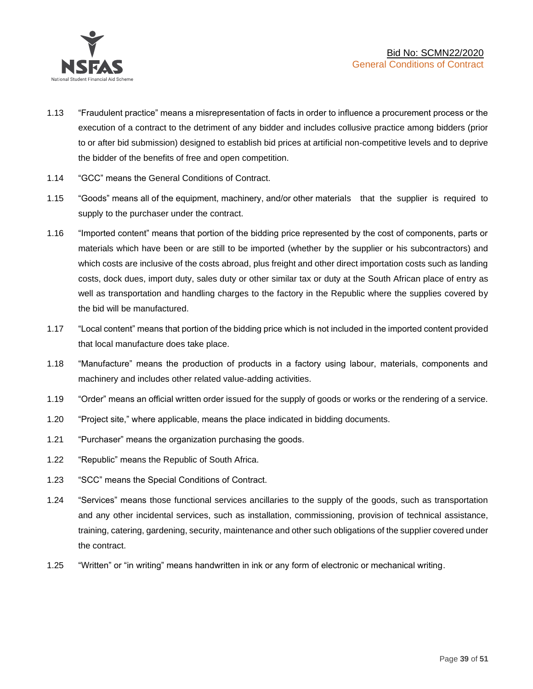

- 1.13 "Fraudulent practice" means a misrepresentation of facts in order to influence a procurement process or the execution of a contract to the detriment of any bidder and includes collusive practice among bidders (prior to or after bid submission) designed to establish bid prices at artificial non-competitive levels and to deprive the bidder of the benefits of free and open competition.
- 1.14 "GCC" means the General Conditions of Contract.
- 1.15 "Goods" means all of the equipment, machinery, and/or other materials that the supplier is required to supply to the purchaser under the contract.
- 1.16 "Imported content" means that portion of the bidding price represented by the cost of components, parts or materials which have been or are still to be imported (whether by the supplier or his subcontractors) and which costs are inclusive of the costs abroad, plus freight and other direct importation costs such as landing costs, dock dues, import duty, sales duty or other similar tax or duty at the South African place of entry as well as transportation and handling charges to the factory in the Republic where the supplies covered by the bid will be manufactured.
- 1.17 "Local content" means that portion of the bidding price which is not included in the imported content provided that local manufacture does take place.
- 1.18 "Manufacture" means the production of products in a factory using labour, materials, components and machinery and includes other related value-adding activities.
- 1.19 "Order" means an official written order issued for the supply of goods or works or the rendering of a service.
- 1.20 "Project site," where applicable, means the place indicated in bidding documents.
- 1.21 "Purchaser" means the organization purchasing the goods.
- 1.22 "Republic" means the Republic of South Africa.
- 1.23 "SCC" means the Special Conditions of Contract.
- 1.24 "Services" means those functional services ancillaries to the supply of the goods, such as transportation and any other incidental services, such as installation, commissioning, provision of technical assistance, training, catering, gardening, security, maintenance and other such obligations of the supplier covered under the contract.
- 1.25 "Written" or "in writing" means handwritten in ink or any form of electronic or mechanical writing.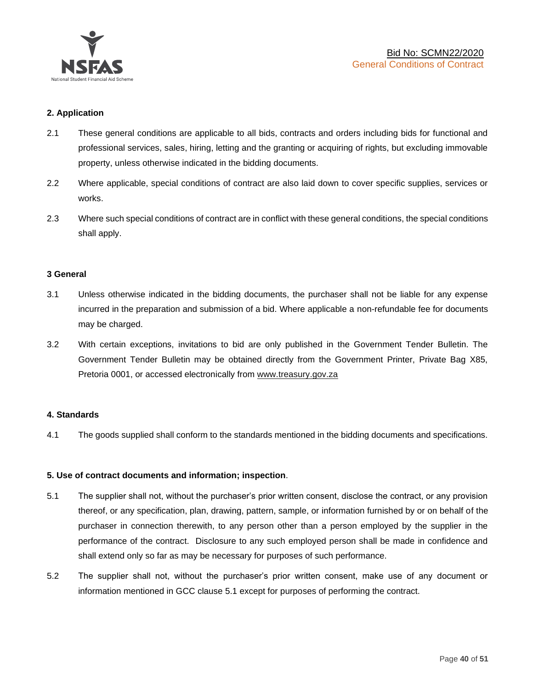

# **2. Application**

- 2.1 These general conditions are applicable to all bids, contracts and orders including bids for functional and professional services, sales, hiring, letting and the granting or acquiring of rights, but excluding immovable property, unless otherwise indicated in the bidding documents.
- 2.2 Where applicable, special conditions of contract are also laid down to cover specific supplies, services or works.
- 2.3 Where such special conditions of contract are in conflict with these general conditions, the special conditions shall apply.

# **3 General**

- 3.1 Unless otherwise indicated in the bidding documents, the purchaser shall not be liable for any expense incurred in the preparation and submission of a bid. Where applicable a non-refundable fee for documents may be charged.
- 3.2 With certain exceptions, invitations to bid are only published in the Government Tender Bulletin. The Government Tender Bulletin may be obtained directly from the Government Printer, Private Bag X85, Pretoria 0001, or accessed electronically from [www.treasury.gov.za](http://www.treasury.gov.za/)

# **4. Standards**

4.1 The goods supplied shall conform to the standards mentioned in the bidding documents and specifications.

# **5. Use of contract documents and information; inspection**.

- 5.1 The supplier shall not, without the purchaser's prior written consent, disclose the contract, or any provision thereof, or any specification, plan, drawing, pattern, sample, or information furnished by or on behalf of the purchaser in connection therewith, to any person other than a person employed by the supplier in the performance of the contract. Disclosure to any such employed person shall be made in confidence and shall extend only so far as may be necessary for purposes of such performance.
- 5.2 The supplier shall not, without the purchaser's prior written consent, make use of any document or information mentioned in GCC clause 5.1 except for purposes of performing the contract.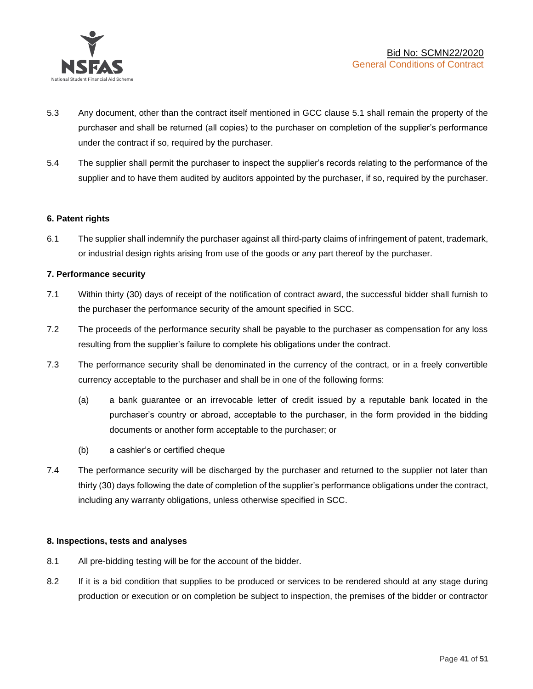

- 5.3 Any document, other than the contract itself mentioned in GCC clause 5.1 shall remain the property of the purchaser and shall be returned (all copies) to the purchaser on completion of the supplier's performance under the contract if so, required by the purchaser.
- 5.4 The supplier shall permit the purchaser to inspect the supplier's records relating to the performance of the supplier and to have them audited by auditors appointed by the purchaser, if so, required by the purchaser.

# **6. Patent rights**

6.1 The supplier shall indemnify the purchaser against all third-party claims of infringement of patent, trademark, or industrial design rights arising from use of the goods or any part thereof by the purchaser.

# **7. Performance security**

- 7.1 Within thirty (30) days of receipt of the notification of contract award, the successful bidder shall furnish to the purchaser the performance security of the amount specified in SCC.
- 7.2 The proceeds of the performance security shall be payable to the purchaser as compensation for any loss resulting from the supplier's failure to complete his obligations under the contract.
- 7.3 The performance security shall be denominated in the currency of the contract, or in a freely convertible currency acceptable to the purchaser and shall be in one of the following forms:
	- (a) a bank guarantee or an irrevocable letter of credit issued by a reputable bank located in the purchaser's country or abroad, acceptable to the purchaser, in the form provided in the bidding documents or another form acceptable to the purchaser; or
	- (b) a cashier's or certified cheque
- 7.4 The performance security will be discharged by the purchaser and returned to the supplier not later than thirty (30) days following the date of completion of the supplier's performance obligations under the contract, including any warranty obligations, unless otherwise specified in SCC.

# **8. Inspections, tests and analyses**

- 8.1 All pre-bidding testing will be for the account of the bidder.
- 8.2 If it is a bid condition that supplies to be produced or services to be rendered should at any stage during production or execution or on completion be subject to inspection, the premises of the bidder or contractor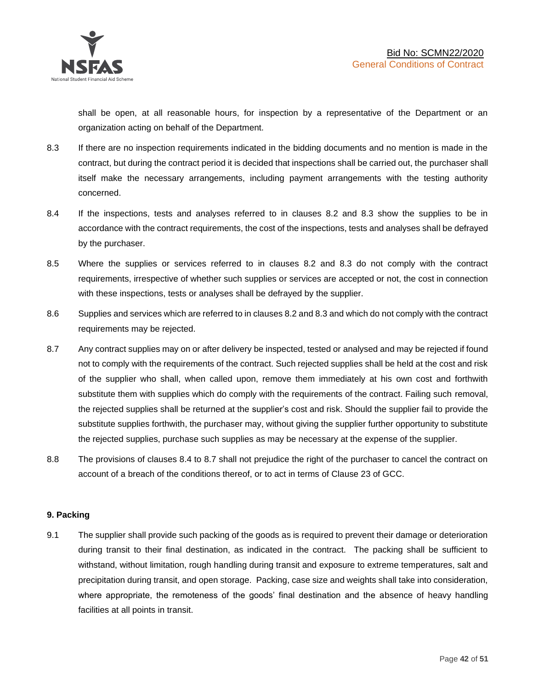shall be open, at all reasonable hours, for inspection by a representative of the Department or an organization acting on behalf of the Department.

- 8.3 If there are no inspection requirements indicated in the bidding documents and no mention is made in the contract, but during the contract period it is decided that inspections shall be carried out, the purchaser shall itself make the necessary arrangements, including payment arrangements with the testing authority concerned.
- 8.4 If the inspections, tests and analyses referred to in clauses 8.2 and 8.3 show the supplies to be in accordance with the contract requirements, the cost of the inspections, tests and analyses shall be defrayed by the purchaser.
- 8.5 Where the supplies or services referred to in clauses 8.2 and 8.3 do not comply with the contract requirements, irrespective of whether such supplies or services are accepted or not, the cost in connection with these inspections, tests or analyses shall be defrayed by the supplier.
- 8.6 Supplies and services which are referred to in clauses 8.2 and 8.3 and which do not comply with the contract requirements may be rejected.
- 8.7 Any contract supplies may on or after delivery be inspected, tested or analysed and may be rejected if found not to comply with the requirements of the contract. Such rejected supplies shall be held at the cost and risk of the supplier who shall, when called upon, remove them immediately at his own cost and forthwith substitute them with supplies which do comply with the requirements of the contract. Failing such removal, the rejected supplies shall be returned at the supplier's cost and risk. Should the supplier fail to provide the substitute supplies forthwith, the purchaser may, without giving the supplier further opportunity to substitute the rejected supplies, purchase such supplies as may be necessary at the expense of the supplier.
- 8.8 The provisions of clauses 8.4 to 8.7 shall not prejudice the right of the purchaser to cancel the contract on account of a breach of the conditions thereof, or to act in terms of Clause 23 of GCC.

# **9. Packing**

9.1 The supplier shall provide such packing of the goods as is required to prevent their damage or deterioration during transit to their final destination, as indicated in the contract. The packing shall be sufficient to withstand, without limitation, rough handling during transit and exposure to extreme temperatures, salt and precipitation during transit, and open storage. Packing, case size and weights shall take into consideration, where appropriate, the remoteness of the goods' final destination and the absence of heavy handling facilities at all points in transit.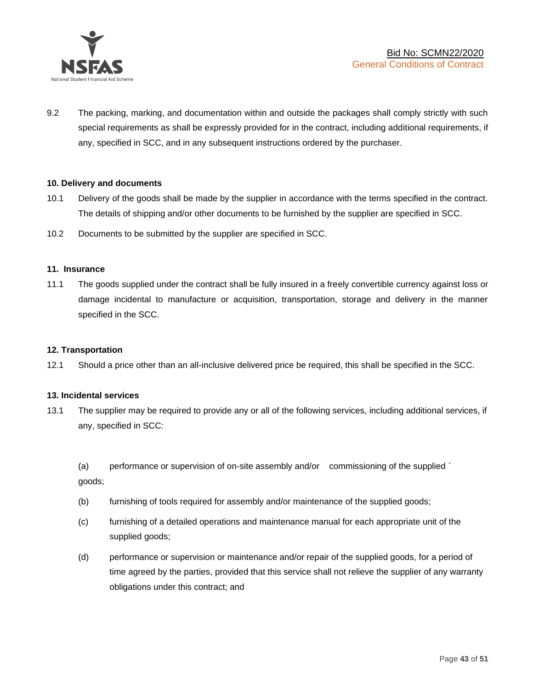

9.2 The packing, marking, and documentation within and outside the packages shall comply strictly with such special requirements as shall be expressly provided for in the contract, including additional requirements, if any, specified in SCC, and in any subsequent instructions ordered by the purchaser.

# **10. Delivery and documents**

- 10.1 Delivery of the goods shall be made by the supplier in accordance with the terms specified in the contract. The details of shipping and/or other documents to be furnished by the supplier are specified in SCC.
- 10.2 Documents to be submitted by the supplier are specified in SCC.

#### **11. Insurance**

11.1 The goods supplied under the contract shall be fully insured in a freely convertible currency against loss or damage incidental to manufacture or acquisition, transportation, storage and delivery in the manner specified in the SCC.

# **12. Transportation**

12.1 Should a price other than an all-inclusive delivered price be required, this shall be specified in the SCC.

# **13. Incidental services**

13.1 The supplier may be required to provide any or all of the following services, including additional services, if any, specified in SCC:

(a) performance or supervision of on-site assembly and/or commissioning of the supplied ` goods;

- (b) furnishing of tools required for assembly and/or maintenance of the supplied goods;
- (c) furnishing of a detailed operations and maintenance manual for each appropriate unit of the supplied goods;
- (d) performance or supervision or maintenance and/or repair of the supplied goods, for a period of time agreed by the parties, provided that this service shall not relieve the supplier of any warranty obligations under this contract; and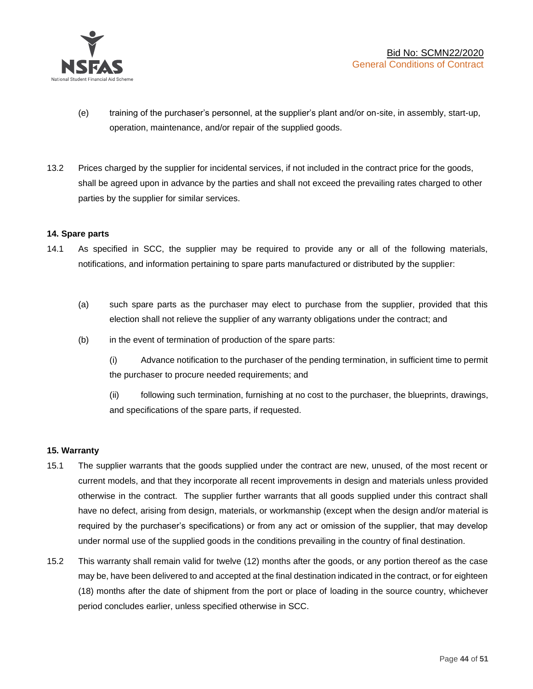

- (e) training of the purchaser's personnel, at the supplier's plant and/or on-site, in assembly, start-up, operation, maintenance, and/or repair of the supplied goods.
- 13.2 Prices charged by the supplier for incidental services, if not included in the contract price for the goods, shall be agreed upon in advance by the parties and shall not exceed the prevailing rates charged to other parties by the supplier for similar services.

# **14. Spare parts**

- 14.1 As specified in SCC, the supplier may be required to provide any or all of the following materials, notifications, and information pertaining to spare parts manufactured or distributed by the supplier:
	- (a) such spare parts as the purchaser may elect to purchase from the supplier, provided that this election shall not relieve the supplier of any warranty obligations under the contract; and
	- (b) in the event of termination of production of the spare parts:

(i) Advance notification to the purchaser of the pending termination, in sufficient time to permit the purchaser to procure needed requirements; and

(ii) following such termination, furnishing at no cost to the purchaser, the blueprints, drawings, and specifications of the spare parts, if requested.

# **15. Warranty**

- 15.1 The supplier warrants that the goods supplied under the contract are new, unused, of the most recent or current models, and that they incorporate all recent improvements in design and materials unless provided otherwise in the contract. The supplier further warrants that all goods supplied under this contract shall have no defect, arising from design, materials, or workmanship (except when the design and/or material is required by the purchaser's specifications) or from any act or omission of the supplier, that may develop under normal use of the supplied goods in the conditions prevailing in the country of final destination.
- 15.2 This warranty shall remain valid for twelve (12) months after the goods, or any portion thereof as the case may be, have been delivered to and accepted at the final destination indicated in the contract, or for eighteen (18) months after the date of shipment from the port or place of loading in the source country, whichever period concludes earlier, unless specified otherwise in SCC.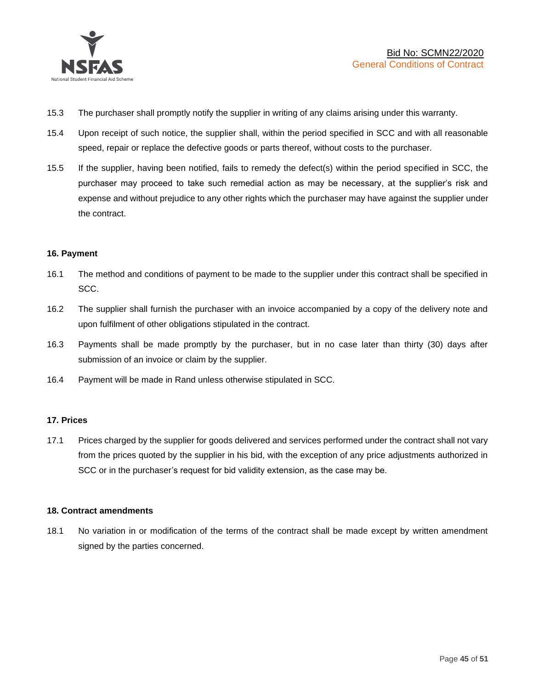

- 15.3 The purchaser shall promptly notify the supplier in writing of any claims arising under this warranty.
- 15.4 Upon receipt of such notice, the supplier shall, within the period specified in SCC and with all reasonable speed, repair or replace the defective goods or parts thereof, without costs to the purchaser.
- 15.5 If the supplier, having been notified, fails to remedy the defect(s) within the period specified in SCC, the purchaser may proceed to take such remedial action as may be necessary, at the supplier's risk and expense and without prejudice to any other rights which the purchaser may have against the supplier under the contract.

# **16. Payment**

- 16.1 The method and conditions of payment to be made to the supplier under this contract shall be specified in SCC.
- 16.2 The supplier shall furnish the purchaser with an invoice accompanied by a copy of the delivery note and upon fulfilment of other obligations stipulated in the contract.
- 16.3 Payments shall be made promptly by the purchaser, but in no case later than thirty (30) days after submission of an invoice or claim by the supplier.
- 16.4 Payment will be made in Rand unless otherwise stipulated in SCC.

# **17. Prices**

17.1 Prices charged by the supplier for goods delivered and services performed under the contract shall not vary from the prices quoted by the supplier in his bid, with the exception of any price adjustments authorized in SCC or in the purchaser's request for bid validity extension, as the case may be.

# **18. Contract amendments**

18.1 No variation in or modification of the terms of the contract shall be made except by written amendment signed by the parties concerned.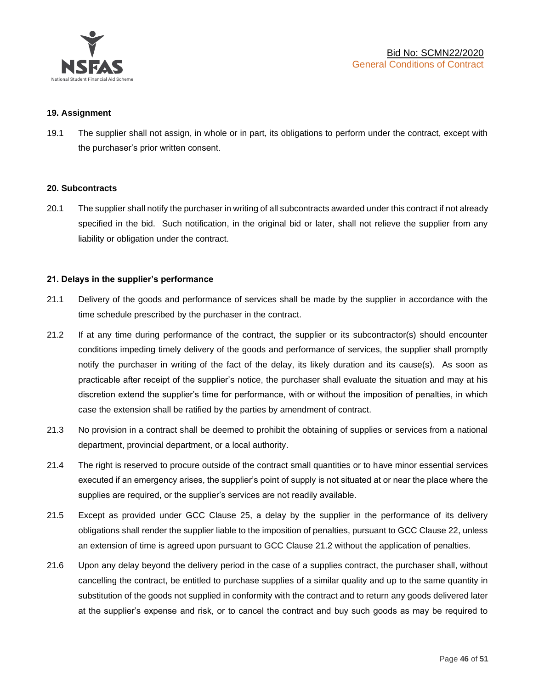

# **19. Assignment**

19.1 The supplier shall not assign, in whole or in part, its obligations to perform under the contract, except with the purchaser's prior written consent.

# **20. Subcontracts**

20.1 The supplier shall notify the purchaser in writing of all subcontracts awarded under this contract if not already specified in the bid. Such notification, in the original bid or later, shall not relieve the supplier from any liability or obligation under the contract.

# **21. Delays in the supplier's performance**

- 21.1 Delivery of the goods and performance of services shall be made by the supplier in accordance with the time schedule prescribed by the purchaser in the contract.
- 21.2 If at any time during performance of the contract, the supplier or its subcontractor(s) should encounter conditions impeding timely delivery of the goods and performance of services, the supplier shall promptly notify the purchaser in writing of the fact of the delay, its likely duration and its cause(s). As soon as practicable after receipt of the supplier's notice, the purchaser shall evaluate the situation and may at his discretion extend the supplier's time for performance, with or without the imposition of penalties, in which case the extension shall be ratified by the parties by amendment of contract.
- 21.3 No provision in a contract shall be deemed to prohibit the obtaining of supplies or services from a national department, provincial department, or a local authority.
- 21.4 The right is reserved to procure outside of the contract small quantities or to have minor essential services executed if an emergency arises, the supplier's point of supply is not situated at or near the place where the supplies are required, or the supplier's services are not readily available.
- 21.5 Except as provided under GCC Clause 25, a delay by the supplier in the performance of its delivery obligations shall render the supplier liable to the imposition of penalties, pursuant to GCC Clause 22, unless an extension of time is agreed upon pursuant to GCC Clause 21.2 without the application of penalties.
- 21.6 Upon any delay beyond the delivery period in the case of a supplies contract, the purchaser shall, without cancelling the contract, be entitled to purchase supplies of a similar quality and up to the same quantity in substitution of the goods not supplied in conformity with the contract and to return any goods delivered later at the supplier's expense and risk, or to cancel the contract and buy such goods as may be required to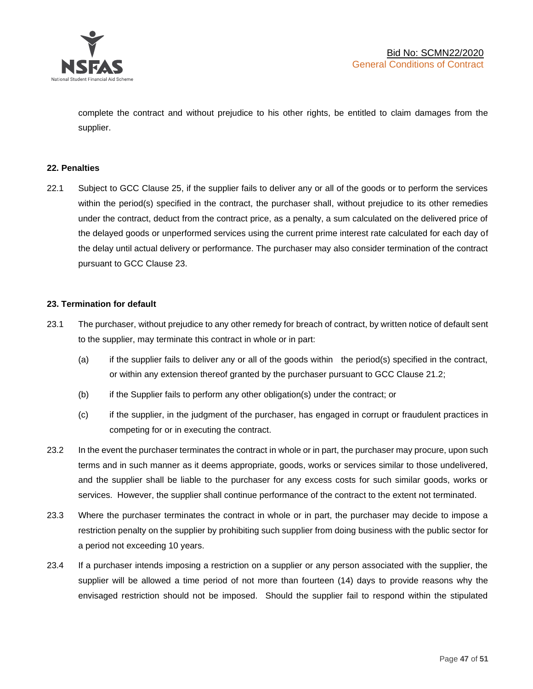

complete the contract and without prejudice to his other rights, be entitled to claim damages from the supplier.

# **22. Penalties**

22.1 Subject to GCC Clause 25, if the supplier fails to deliver any or all of the goods or to perform the services within the period(s) specified in the contract, the purchaser shall, without prejudice to its other remedies under the contract, deduct from the contract price, as a penalty, a sum calculated on the delivered price of the delayed goods or unperformed services using the current prime interest rate calculated for each day of the delay until actual delivery or performance. The purchaser may also consider termination of the contract pursuant to GCC Clause 23.

# **23. Termination for default**

- 23.1 The purchaser, without prejudice to any other remedy for breach of contract, by written notice of default sent to the supplier, may terminate this contract in whole or in part:
	- (a) if the supplier fails to deliver any or all of the goods within the period(s) specified in the contract, or within any extension thereof granted by the purchaser pursuant to GCC Clause 21.2;
	- (b) if the Supplier fails to perform any other obligation(s) under the contract; or
	- (c) if the supplier, in the judgment of the purchaser, has engaged in corrupt or fraudulent practices in competing for or in executing the contract.
- 23.2 In the event the purchaser terminates the contract in whole or in part, the purchaser may procure, upon such terms and in such manner as it deems appropriate, goods, works or services similar to those undelivered, and the supplier shall be liable to the purchaser for any excess costs for such similar goods, works or services. However, the supplier shall continue performance of the contract to the extent not terminated.
- 23.3 Where the purchaser terminates the contract in whole or in part, the purchaser may decide to impose a restriction penalty on the supplier by prohibiting such supplier from doing business with the public sector for a period not exceeding 10 years.
- 23.4 If a purchaser intends imposing a restriction on a supplier or any person associated with the supplier, the supplier will be allowed a time period of not more than fourteen (14) days to provide reasons why the envisaged restriction should not be imposed. Should the supplier fail to respond within the stipulated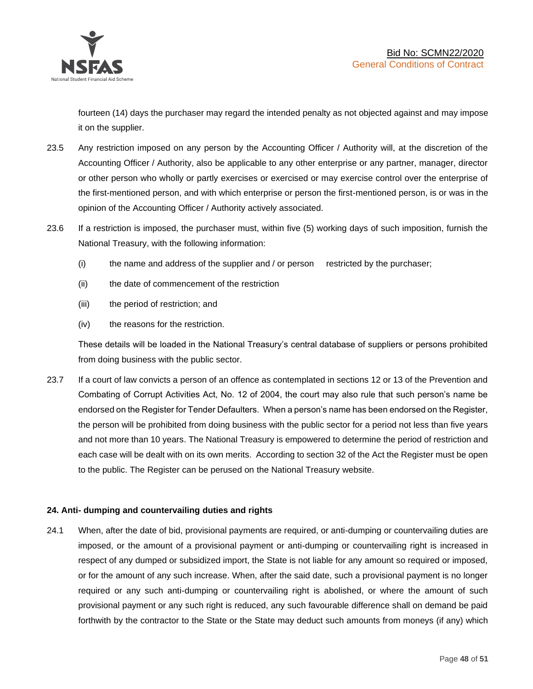

fourteen (14) days the purchaser may regard the intended penalty as not objected against and may impose it on the supplier.

- 23.5 Any restriction imposed on any person by the Accounting Officer / Authority will, at the discretion of the Accounting Officer / Authority, also be applicable to any other enterprise or any partner, manager, director or other person who wholly or partly exercises or exercised or may exercise control over the enterprise of the first-mentioned person, and with which enterprise or person the first-mentioned person, is or was in the opinion of the Accounting Officer / Authority actively associated.
- 23.6 If a restriction is imposed, the purchaser must, within five (5) working days of such imposition, furnish the National Treasury, with the following information:
	- (i) the name and address of the supplier and / or person restricted by the purchaser;
	- (ii) the date of commencement of the restriction
	- (iii) the period of restriction; and
	- (iv) the reasons for the restriction.

These details will be loaded in the National Treasury's central database of suppliers or persons prohibited from doing business with the public sector.

23.7 If a court of law convicts a person of an offence as contemplated in sections 12 or 13 of the Prevention and Combating of Corrupt Activities Act, No. 12 of 2004, the court may also rule that such person's name be endorsed on the Register for Tender Defaulters. When a person's name has been endorsed on the Register, the person will be prohibited from doing business with the public sector for a period not less than five years and not more than 10 years. The National Treasury is empowered to determine the period of restriction and each case will be dealt with on its own merits. According to section 32 of the Act the Register must be open to the public. The Register can be perused on the National Treasury website.

# **24. Anti- dumping and countervailing duties and rights**

24.1 When, after the date of bid, provisional payments are required, or anti-dumping or countervailing duties are imposed, or the amount of a provisional payment or anti-dumping or countervailing right is increased in respect of any dumped or subsidized import, the State is not liable for any amount so required or imposed, or for the amount of any such increase. When, after the said date, such a provisional payment is no longer required or any such anti-dumping or countervailing right is abolished, or where the amount of such provisional payment or any such right is reduced, any such favourable difference shall on demand be paid forthwith by the contractor to the State or the State may deduct such amounts from moneys (if any) which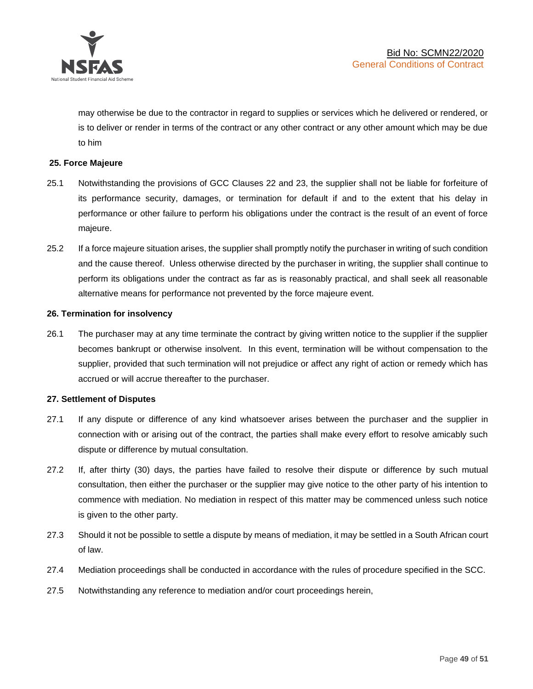

may otherwise be due to the contractor in regard to supplies or services which he delivered or rendered, or is to deliver or render in terms of the contract or any other contract or any other amount which may be due to him

# **25. Force Majeure**

- 25.1 Notwithstanding the provisions of GCC Clauses 22 and 23, the supplier shall not be liable for forfeiture of its performance security, damages, or termination for default if and to the extent that his delay in performance or other failure to perform his obligations under the contract is the result of an event of force majeure.
- 25.2 If a force majeure situation arises, the supplier shall promptly notify the purchaser in writing of such condition and the cause thereof. Unless otherwise directed by the purchaser in writing, the supplier shall continue to perform its obligations under the contract as far as is reasonably practical, and shall seek all reasonable alternative means for performance not prevented by the force majeure event.

#### **26. Termination for insolvency**

26.1 The purchaser may at any time terminate the contract by giving written notice to the supplier if the supplier becomes bankrupt or otherwise insolvent. In this event, termination will be without compensation to the supplier, provided that such termination will not prejudice or affect any right of action or remedy which has accrued or will accrue thereafter to the purchaser.

#### **27. Settlement of Disputes**

- 27.1 If any dispute or difference of any kind whatsoever arises between the purchaser and the supplier in connection with or arising out of the contract, the parties shall make every effort to resolve amicably such dispute or difference by mutual consultation.
- 27.2 If, after thirty (30) days, the parties have failed to resolve their dispute or difference by such mutual consultation, then either the purchaser or the supplier may give notice to the other party of his intention to commence with mediation. No mediation in respect of this matter may be commenced unless such notice is given to the other party.
- 27.3 Should it not be possible to settle a dispute by means of mediation, it may be settled in a South African court of law.
- 27.4 Mediation proceedings shall be conducted in accordance with the rules of procedure specified in the SCC.
- 27.5 Notwithstanding any reference to mediation and/or court proceedings herein,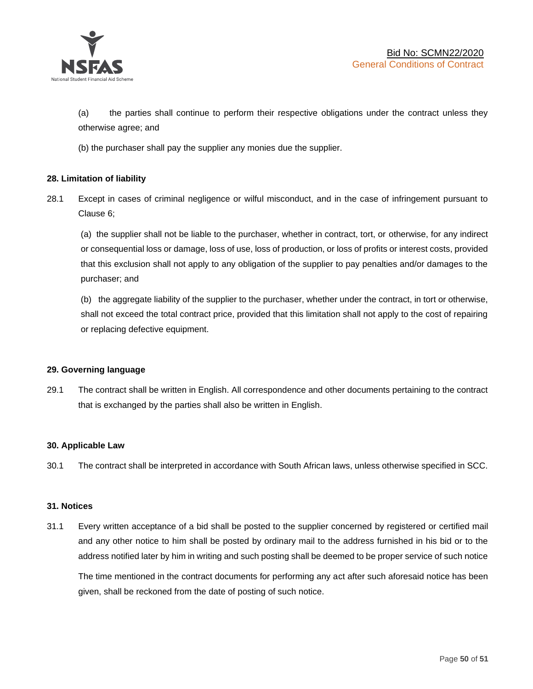

(a) the parties shall continue to perform their respective obligations under the contract unless they otherwise agree; and

(b) the purchaser shall pay the supplier any monies due the supplier.

# **28. Limitation of liability**

28.1 Except in cases of criminal negligence or wilful misconduct, and in the case of infringement pursuant to Clause 6;

(a) the supplier shall not be liable to the purchaser, whether in contract, tort, or otherwise, for any indirect or consequential loss or damage, loss of use, loss of production, or loss of profits or interest costs, provided that this exclusion shall not apply to any obligation of the supplier to pay penalties and/or damages to the purchaser; and

(b) the aggregate liability of the supplier to the purchaser, whether under the contract, in tort or otherwise, shall not exceed the total contract price, provided that this limitation shall not apply to the cost of repairing or replacing defective equipment.

# **29. Governing language**

29.1 The contract shall be written in English. All correspondence and other documents pertaining to the contract that is exchanged by the parties shall also be written in English.

# **30. Applicable Law**

30.1 The contract shall be interpreted in accordance with South African laws, unless otherwise specified in SCC.

# **31. Notices**

31.1 Every written acceptance of a bid shall be posted to the supplier concerned by registered or certified mail and any other notice to him shall be posted by ordinary mail to the address furnished in his bid or to the address notified later by him in writing and such posting shall be deemed to be proper service of such notice

The time mentioned in the contract documents for performing any act after such aforesaid notice has been given, shall be reckoned from the date of posting of such notice.